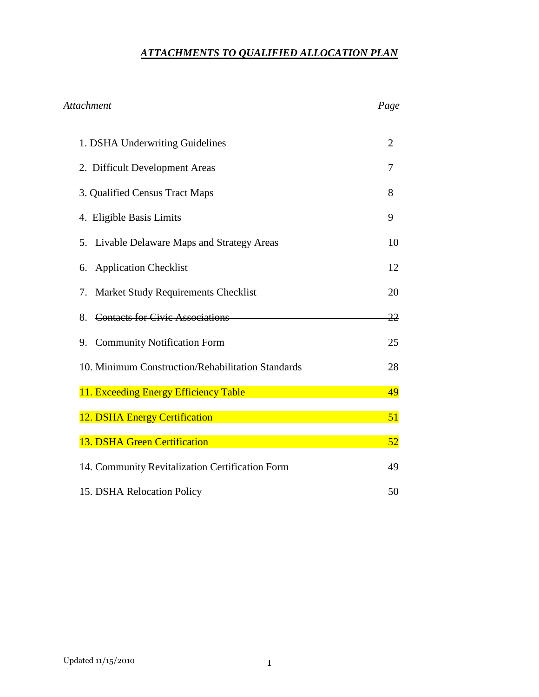## *ATTACHMENTS TO QUALIFIED ALLOCATION PLAN*

| <b>Attachment</b>                                 | Page           |
|---------------------------------------------------|----------------|
| 1. DSHA Underwriting Guidelines                   | $\overline{2}$ |
| 2. Difficult Development Areas                    | 7              |
| 3. Qualified Census Tract Maps                    | 8              |
| 4. Eligible Basis Limits                          | 9              |
| Livable Delaware Maps and Strategy Areas<br>5.    | 10             |
| <b>Application Checklist</b><br>6.                | 12             |
| Market Study Requirements Checklist<br>7.         | 20             |
| <b>Contacts for Civic Associations</b><br>8.      | 22             |
| <b>Community Notification Form</b><br>9.          | 25             |
| 10. Minimum Construction/Rehabilitation Standards | 28             |
| 11. Exceeding Energy Efficiency Table             | 49             |
| 12. DSHA Energy Certification                     | 51             |
| 13. DSHA Green Certification                      | 52             |
| 14. Community Revitalization Certification Form   | 49             |
| 15. DSHA Relocation Policy                        | 50             |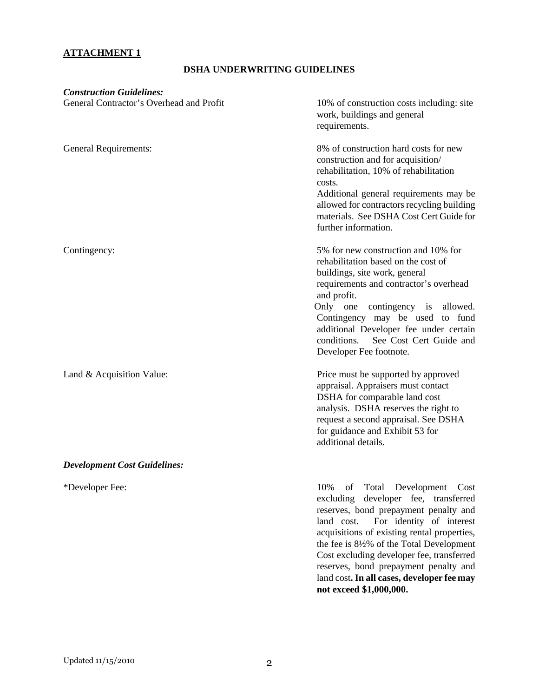## **ATTACHMENT 1**

## **DSHA UNDERWRITING GUIDELINES**

| <b>Construction Guidelines:</b><br>General Contractor's Overhead and Profit | 10% of construction costs including: site<br>work, buildings and general<br>requirements.                                                                                                                                                                                                                                                                     |
|-----------------------------------------------------------------------------|---------------------------------------------------------------------------------------------------------------------------------------------------------------------------------------------------------------------------------------------------------------------------------------------------------------------------------------------------------------|
| <b>General Requirements:</b>                                                | 8% of construction hard costs for new<br>construction and for acquisition/<br>rehabilitation, 10% of rehabilitation<br>costs.<br>Additional general requirements may be<br>allowed for contractors recycling building<br>materials. See DSHA Cost Cert Guide for<br>further information.                                                                      |
| Contingency:                                                                | 5% for new construction and 10% for<br>rehabilitation based on the cost of<br>buildings, site work, general<br>requirements and contractor's overhead<br>and profit.<br>Only one<br>contingency is allowed.<br>Contingency may be used to fund<br>additional Developer fee under certain<br>See Cost Cert Guide and<br>conditions.<br>Developer Fee footnote. |
| Land & Acquisition Value:                                                   | Price must be supported by approved<br>appraisal. Appraisers must contact<br>DSHA for comparable land cost<br>analysis. DSHA reserves the right to<br>request a second appraisal. See DSHA<br>for guidance and Exhibit 53 for<br>additional details.                                                                                                          |
| <b>Development Cost Guidelines:</b>                                         |                                                                                                                                                                                                                                                                                                                                                               |
| *Developer Fee:                                                             | 10%<br>Total<br>Development Cost<br>of<br>developer fee, transferred<br>excluding<br>reserves, bond prepayment penalty and<br>For identity of interest<br>land cost.<br>acquisitions of existing rental properties,<br>the fee is 8½% of the Total Development                                                                                                |

Cost excluding developer fee, transferred reserves, bond prepayment penalty and land cost**. In all cases, developer fee may not exceed \$1,000,000.**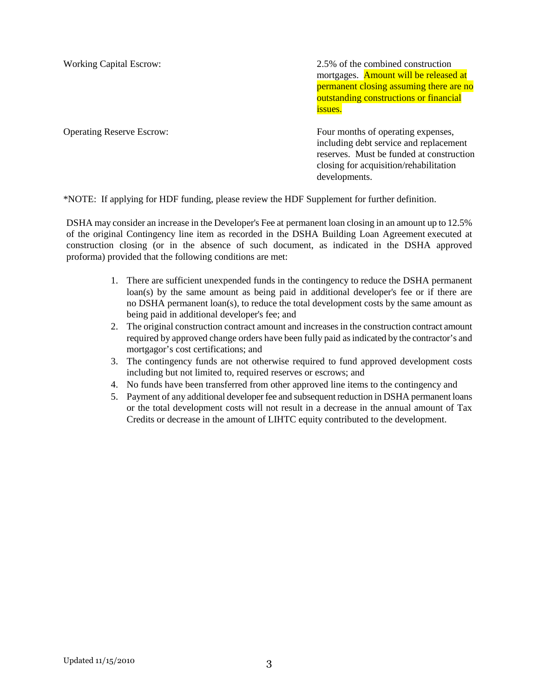Working Capital Escrow: 2.5% of the combined construction mortgages. **Amount will be released at** permanent closing assuming there are no outstanding constructions or financial issues.

Operating Reserve Escrow: Four months of operating expenses, including debt service and replacement reserves. Must be funded at construction closing for acquisition/rehabilitation developments.

\*NOTE: If applying for HDF funding, please review the HDF Supplement for further definition.

DSHA may consider an increase in the Developer's Fee at permanent loan closing in an amount up to 12.5% of the original Contingency line item as recorded in the DSHA Building Loan Agreement executed at construction closing (or in the absence of such document, as indicated in the DSHA approved proforma) provided that the following conditions are met:

- 1. There are sufficient unexpended funds in the contingency to reduce the DSHA permanent loan(s) by the same amount as being paid in additional developer's fee or if there are no DSHA permanent loan(s), to reduce the total development costs by the same amount as being paid in additional developer's fee; and
- 2. The original construction contract amount and increases in the construction contract amount required by approved change orders have been fully paid as indicated by the contractor's and mortgagor's cost certifications; and
- 3. The contingency funds are not otherwise required to fund approved development costs including but not limited to, required reserves or escrows; and
- 4. No funds have been transferred from other approved line items to the contingency and
- 5. Payment of any additional developer fee and subsequent reduction in DSHA permanent loans or the total development costs will not result in a decrease in the annual amount of Tax Credits or decrease in the amount of LIHTC equity contributed to the development.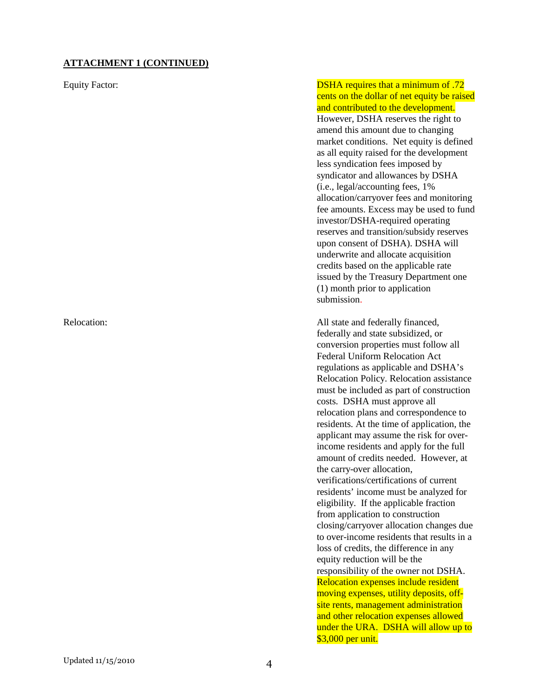#### **ATTACHMENT 1 (CONTINUED)**

Equity Factor: DSHA requires that a minimum of .72 cents on the dollar of net equity be raised and contributed to the development. However, DSHA reserves the right to amend this amount due to changing market conditions. Net equity is defined as all equity raised for the development less syndication fees imposed by syndicator and allowances by DSHA (i.e., legal/accounting fees, 1% allocation/carryover fees and monitoring fee amounts. Excess may be used to fund investor/DSHA-required operating reserves and transition/subsidy reserves upon consent of DSHA). DSHA will underwrite and allocate acquisition credits based on the applicable rate issued by the Treasury Department one (1) month prior to application submission.

Relocation: All state and federally financed, federally and state subsidized, or conversion properties must follow all Federal Uniform Relocation Act regulations as applicable and DSHA's Relocation Policy. Relocation assistance must be included as part of construction costs. DSHA must approve all relocation plans and correspondence to residents. At the time of application, the applicant may assume the risk for overincome residents and apply for the full amount of credits needed. However, at the carry-over allocation, verifications/certifications of current residents' income must be analyzed for eligibility. If the applicable fraction from application to construction closing/carryover allocation changes due to over-income residents that results in a loss of credits, the difference in any equity reduction will be the responsibility of the owner not DSHA. Relocation expenses include resident moving expenses, utility deposits, offsite rents, management administration and other relocation expenses allowed under the URA. DSHA will allow up to \$3,000 per unit.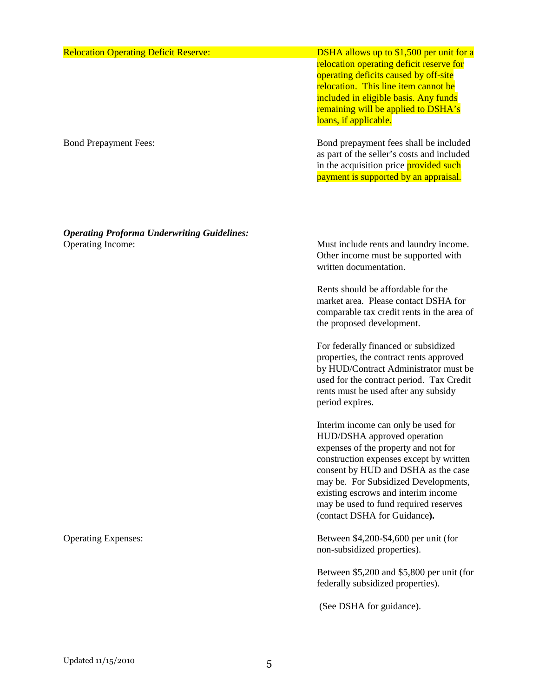| <b>Relocation Operating Deficit Reserve:</b> | DSHA allows up to $$1,500$ per unit for a<br>relocation operating deficit reserve for<br>operating deficits caused by off-site<br>relocation. This line item cannot be<br>included in eligible basis. Any funds<br>remaining will be applied to DSHA's<br>loans, if applicable. |
|----------------------------------------------|---------------------------------------------------------------------------------------------------------------------------------------------------------------------------------------------------------------------------------------------------------------------------------|
| <b>Bond Prepayment Fees:</b>                 | Bond prepayment fees shall be included<br>as part of the seller's costs and included<br>in the acquisition price provided such<br>payment is supported by an appraisal.                                                                                                         |

*Operating Proforma Underwriting Guidelines:*  Operating Income: Must include rents and laundry income.

Other income must be supported with written documentation.

Rents should be affordable for the market area. Please contact DSHA for comparable tax credit rents in the area of the proposed development.

For federally financed or subsidized properties, the contract rents approved by HUD/Contract Administrator must be used for the contract period. Tax Credit rents must be used after any subsidy period expires.

Interim income can only be used for HUD/DSHA approved operation expenses of the property and not for construction expenses except by written consent by HUD and DSHA as the case may be. For Subsidized Developments, existing escrows and interim income may be used to fund required reserves (contact DSHA for Guidance**).** 

Operating Expenses: Between \$4,200-\$4,600 per unit (for non-subsidized properties).

> Between \$5,200 and \$5,800 per unit (for federally subsidized properties).

(See DSHA for guidance).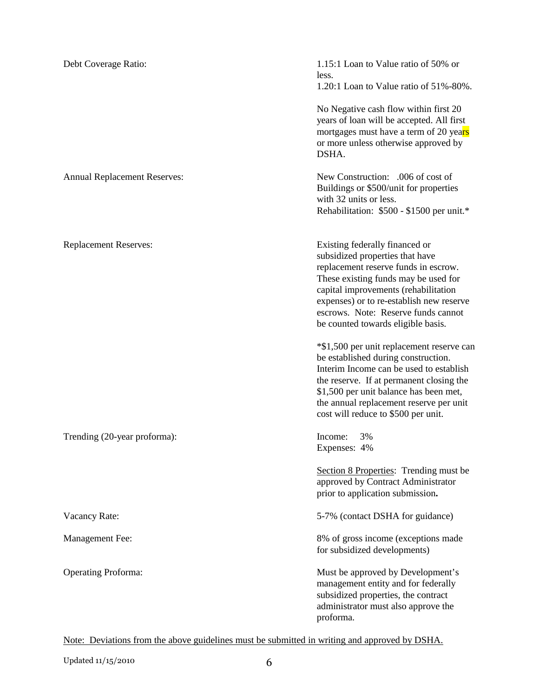| Debt Coverage Ratio:                | 1.15:1 Loan to Value ratio of 50% or<br>less.<br>1.20:1 Loan to Value ratio of 51%-80%.                                                                                                                                                                                                                            |
|-------------------------------------|--------------------------------------------------------------------------------------------------------------------------------------------------------------------------------------------------------------------------------------------------------------------------------------------------------------------|
|                                     | No Negative cash flow within first 20<br>years of loan will be accepted. All first<br>mortgages must have a term of 20 years<br>or more unless otherwise approved by<br>DSHA.                                                                                                                                      |
| <b>Annual Replacement Reserves:</b> | New Construction: .006 of cost of<br>Buildings or \$500/unit for properties<br>with 32 units or less.<br>Rehabilitation: \$500 - \$1500 per unit.*                                                                                                                                                                 |
| <b>Replacement Reserves:</b>        | Existing federally financed or<br>subsidized properties that have<br>replacement reserve funds in escrow.<br>These existing funds may be used for<br>capital improvements (rehabilitation<br>expenses) or to re-establish new reserve<br>escrows. Note: Reserve funds cannot<br>be counted towards eligible basis. |
|                                     | *\$1,500 per unit replacement reserve can<br>be established during construction.<br>Interim Income can be used to establish<br>the reserve. If at permanent closing the<br>\$1,500 per unit balance has been met,<br>the annual replacement reserve per unit<br>cost will reduce to \$500 per unit.                |
| Trending (20-year proforma):        | Income:<br>3%<br>Expenses: 4%                                                                                                                                                                                                                                                                                      |
|                                     | Section 8 Properties: Trending must be<br>approved by Contract Administrator<br>prior to application submission.                                                                                                                                                                                                   |
| Vacancy Rate:                       | 5-7% (contact DSHA for guidance)                                                                                                                                                                                                                                                                                   |
| Management Fee:                     | 8% of gross income (exceptions made<br>for subsidized developments)                                                                                                                                                                                                                                                |
| <b>Operating Proforma:</b>          | Must be approved by Development's<br>management entity and for federally<br>subsidized properties, the contract<br>administrator must also approve the<br>proforma.                                                                                                                                                |

Note: Deviations from the above guidelines must be submitted in writing and approved by DSHA.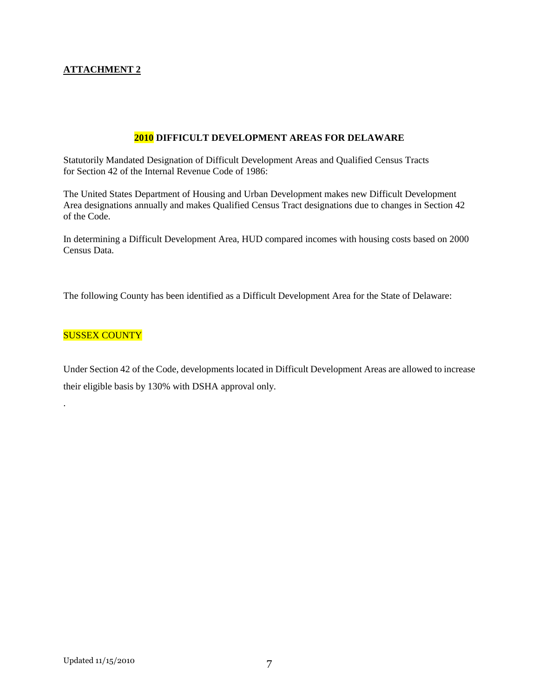#### **ATTACHMENT 2**

#### **2010 DIFFICULT DEVELOPMENT AREAS FOR DELAWARE**

Statutorily Mandated Designation of Difficult Development Areas and Qualified Census Tracts for Section 42 of the Internal Revenue Code of 1986:

The United States Department of Housing and Urban Development makes new Difficult Development Area designations annually and makes Qualified Census Tract designations due to changes in Section 42 of the Code.

In determining a Difficult Development Area, HUD compared incomes with housing costs based on 2000 Census Data.

The following County has been identified as a Difficult Development Area for the State of Delaware:

#### SUSSEX COUNTY

.

Under Section 42 of the Code, developments located in Difficult Development Areas are allowed to increase their eligible basis by 130% with DSHA approval only.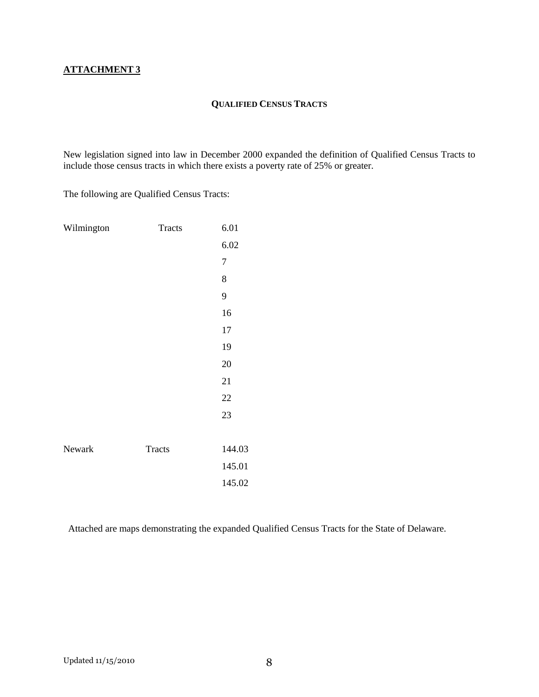## **QUALIFIED CENSUS TRACTS**

New legislation signed into law in December 2000 expanded the definition of Qualified Census Tracts to include those census tracts in which there exists a poverty rate of 25% or greater.

The following are Qualified Census Tracts:

| Wilmington | Tracts        | 6.01             |
|------------|---------------|------------------|
|            |               | 6.02             |
|            |               | $\boldsymbol{7}$ |
|            |               | 8                |
|            |               | 9                |
|            |               | 16               |
|            |               | $17\,$           |
|            |               | 19               |
|            |               | 20               |
|            |               | 21               |
|            |               | 22               |
|            |               | 23               |
|            |               |                  |
| Newark     | <b>Tracts</b> | 144.03           |
|            |               | 145.01           |
|            |               | 145.02           |

Attached are maps demonstrating the expanded Qualified Census Tracts for the State of Delaware.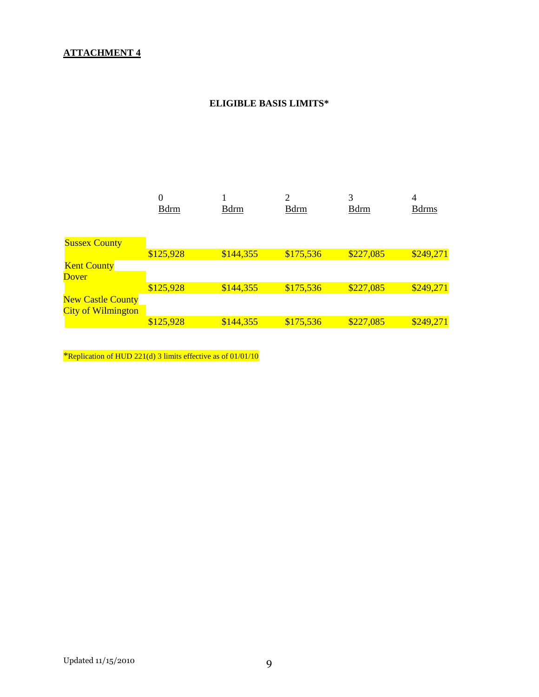## **ATTACHMENT 4**

## **ELIGIBLE BASIS LIMITS\***

|                           | $\boldsymbol{0}$ |              | ↑            | 3            | 4             |
|---------------------------|------------------|--------------|--------------|--------------|---------------|
|                           | <b>B</b> drm     | <b>B</b> drm | <b>B</b> drm | <b>B</b> drm | <b>B</b> drms |
|                           |                  |              |              |              |               |
|                           |                  |              |              |              |               |
| <b>Sussex County</b>      |                  |              |              |              |               |
|                           | \$125,928        | \$144,355    | \$175,536    | \$227,085    | \$249,271     |
| <b>Kent County</b>        |                  |              |              |              |               |
| <b>Dover</b>              |                  |              |              |              |               |
|                           | \$125,928        | \$144,355    | \$175,536    | \$227,085    | \$249,271     |
| <b>New Castle County</b>  |                  |              |              |              |               |
| <b>City of Wilmington</b> |                  |              |              |              |               |
|                           | \$125,928        | \$144,355    | \$175,536    | \$227,085    | \$249,271     |

\*Replication of HUD 221(d) 3 limits effective as of 01/01/10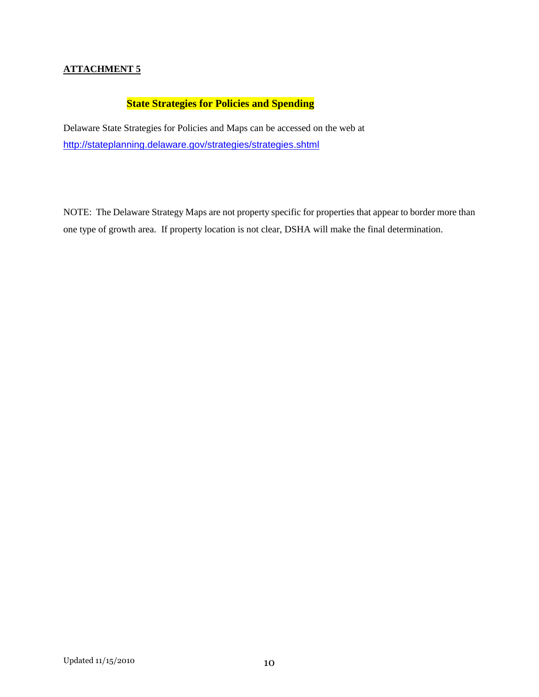## **ATTACHMENT 5**

## **State Strategies for Policies and Spending**

Delaware State Strategies for Policies and Maps can be accessed on the web at http://stateplanning.delaware.gov/strategies/strategies.shtml

NOTE: The Delaware Strategy Maps are not property specific for properties that appear to border more than one type of growth area. If property location is not clear, DSHA will make the final determination.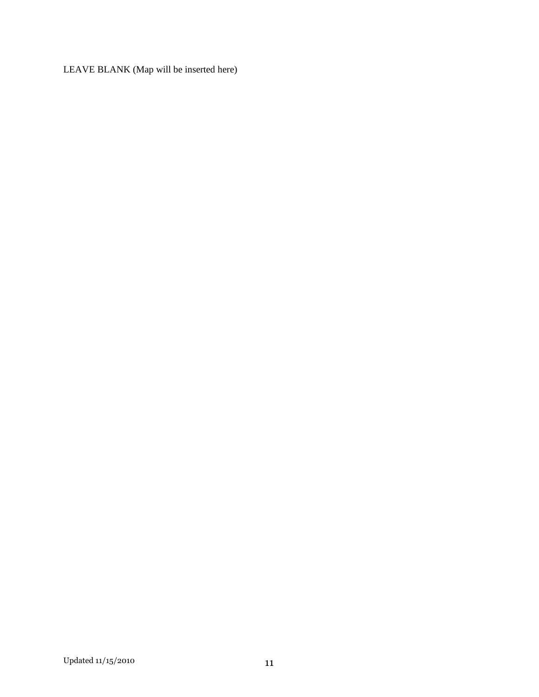LEAVE BLANK (Map will be inserted here)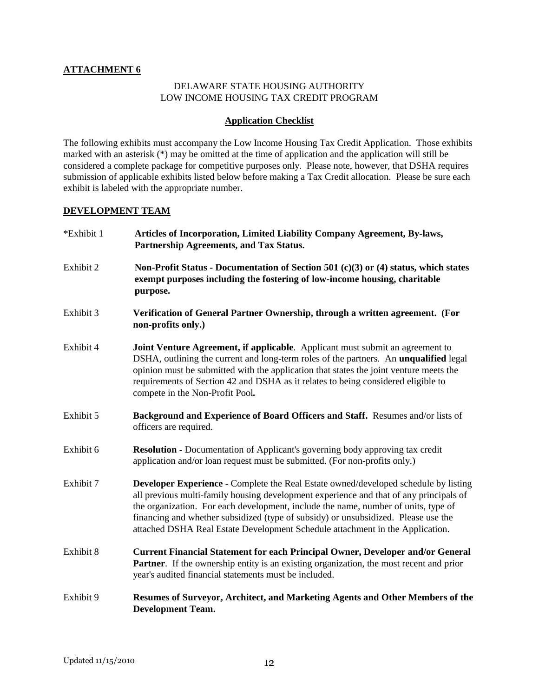#### **ATTACHMENT 6**

#### DELAWARE STATE HOUSING AUTHORITY LOW INCOME HOUSING TAX CREDIT PROGRAM

#### **Application Checklist**

The following exhibits must accompany the Low Income Housing Tax Credit Application. Those exhibits marked with an asterisk (\*) may be omitted at the time of application and the application will still be considered a complete package for competitive purposes only. Please note, however, that DSHA requires submission of applicable exhibits listed below before making a Tax Credit allocation. Please be sure each exhibit is labeled with the appropriate number.

#### **DEVELOPMENT TEAM**

| *Exhibit 1 | Articles of Incorporation, Limited Liability Company Agreement, By-laws,<br>Partnership Agreements, and Tax Status.                                                                                                                                                                                                                                                                                                                               |
|------------|---------------------------------------------------------------------------------------------------------------------------------------------------------------------------------------------------------------------------------------------------------------------------------------------------------------------------------------------------------------------------------------------------------------------------------------------------|
| Exhibit 2  | Non-Profit Status - Documentation of Section 501 (c)(3) or (4) status, which states<br>exempt purposes including the fostering of low-income housing, charitable<br>purpose.                                                                                                                                                                                                                                                                      |
| Exhibit 3  | Verification of General Partner Ownership, through a written agreement. (For<br>non-profits only.)                                                                                                                                                                                                                                                                                                                                                |
| Exhibit 4  | Joint Venture Agreement, if applicable. Applicant must submit an agreement to<br>DSHA, outlining the current and long-term roles of the partners. An <b>unqualified</b> legal<br>opinion must be submitted with the application that states the joint venture meets the<br>requirements of Section 42 and DSHA as it relates to being considered eligible to<br>compete in the Non-Profit Pool.                                                   |
| Exhibit 5  | Background and Experience of Board Officers and Staff. Resumes and/or lists of<br>officers are required.                                                                                                                                                                                                                                                                                                                                          |
| Exhibit 6  | <b>Resolution</b> - Documentation of Applicant's governing body approving tax credit<br>application and/or loan request must be submitted. (For non-profits only.)                                                                                                                                                                                                                                                                                |
| Exhibit 7  | <b>Developer Experience - Complete the Real Estate owned/developed schedule by listing</b><br>all previous multi-family housing development experience and that of any principals of<br>the organization. For each development, include the name, number of units, type of<br>financing and whether subsidized (type of subsidy) or unsubsidized. Please use the<br>attached DSHA Real Estate Development Schedule attachment in the Application. |
| Exhibit 8  | <b>Current Financial Statement for each Principal Owner, Developer and/or General</b><br><b>Partner.</b> If the ownership entity is an existing organization, the most recent and prior<br>year's audited financial statements must be included.                                                                                                                                                                                                  |
| Exhibit 9  | Resumes of Surveyor, Architect, and Marketing Agents and Other Members of the<br><b>Development Team.</b>                                                                                                                                                                                                                                                                                                                                         |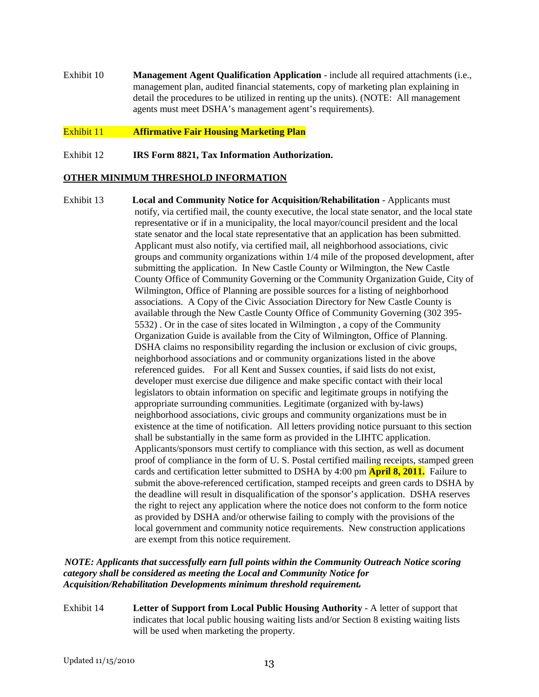Exhibit 10 **Management Agent Qualification Application** - include all required attachments (i.e., management plan, audited financial statements, copy of marketing plan explaining in detail the procedures to be utilized in renting up the units). (NOTE: All management agents must meet DSHA's management agent's requirements).

#### Exhibit 11 **Affirmative Fair Housing Marketing Plan**

Exhibit 12 **IRS Form 8821, Tax Information Authorization.**

#### **OTHER MINIMUM THRESHOLD INFORMATION**

Exhibit 13 **Local and Community Notice for Acquisition/Rehabilitation** - Applicants must notify, via certified mail, the county executive, the local state senator, and the local state representative or if in a municipality, the local mayor/council president and the local state senator and the local state representative that an application has been submitted. Applicant must also notify, via certified mail, all neighborhood associations, civic groups and community organizations within 1/4 mile of the proposed development, after submitting the application. In New Castle County or Wilmington, the New Castle County Office of Community Governing or the Community Organization Guide, City of Wilmington, Office of Planning are possible sources for a listing of neighborhood associations. A Copy of the Civic Association Directory for New Castle County is available through the New Castle County Office of Community Governing (302 395- 5532) . Or in the case of sites located in Wilmington , a copy of the Community Organization Guide is available from the City of Wilmington, Office of Planning. DSHA claims no responsibility regarding the inclusion or exclusion of civic groups, neighborhood associations and or community organizations listed in the above referenced guides. For all Kent and Sussex counties, if said lists do not exist, developer must exercise due diligence and make specific contact with their local legislators to obtain information on specific and legitimate groups in notifying the appropriate surrounding communities. Legitimate (organized with by-laws) neighborhood associations, civic groups and community organizations must be in existence at the time of notification. All letters providing notice pursuant to this section shall be substantially in the same form as provided in the LIHTC application. Applicants/sponsors must certify to compliance with this section, as well as document proof of compliance in the form of U. S. Postal certified mailing receipts, stamped green cards and certification letter submitted to DSHA by 4:00 pm **April 8, 2011.** Failure to submit the above-referenced certification, stamped receipts and green cards to DSHA by the deadline will result in disqualification of the sponsor's application. DSHA reserves the right to reject any application where the notice does not conform to the form notice as provided by DSHA and/or otherwise failing to comply with the provisions of the local government and community notice requirements. New construction applications are exempt from this notice requirement.

#### *NOTE: Applicants that successfully earn full points within the Community Outreach Notice scoring category shall be considered as meeting the Local and Community Notice for Acquisition/Rehabilitation Developments minimum threshold requirement.*

Exhibit 14 **Letter of Support from Local Public Housing Authority** - A letter of support that indicates that local public housing waiting lists and/or Section 8 existing waiting lists will be used when marketing the property.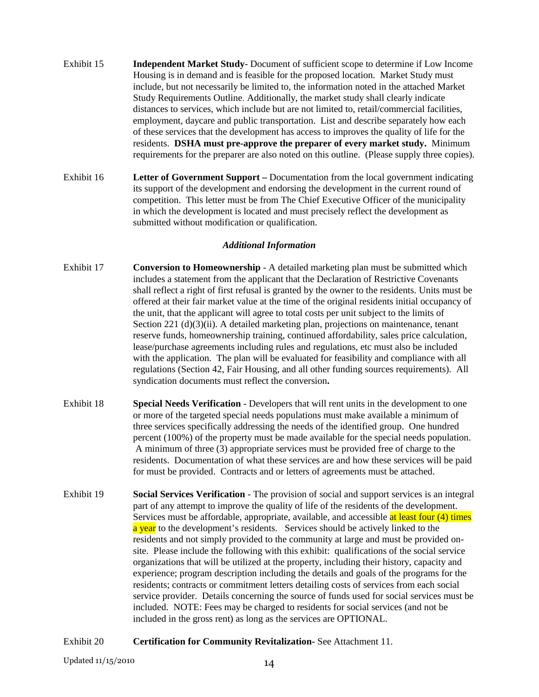- Exhibit 15 **Independent Market Study** Document of sufficient scope to determine if Low Income Housing is in demand and is feasible for the proposed location. Market Study must include, but not necessarily be limited to, the information noted in the attached Market Study Requirements Outline. Additionally, the market study shall clearly indicate distances to services, which include but are not limited to, retail/commercial facilities, employment, daycare and public transportation. List and describe separately how each of these services that the development has access to improves the quality of life for the residents. **DSHA must pre-approve the preparer of every market study.** Minimum requirements for the preparer are also noted on this outline. (Please supply three copies).
- Exhibit 16 **Letter of Government Support** Documentation from the local government indicating its support of the development and endorsing the development in the current round of competition. This letter must be from The Chief Executive Officer of the municipality in which the development is located and must precisely reflect the development as submitted without modification or qualification.

#### *Additional Information*

- Exhibit 17 **Conversion to Homeownership**A detailed marketing plan must be submitted which includes a statement from the applicant that the Declaration of Restrictive Covenants shall reflect a right of first refusal is granted by the owner to the residents. Units must be offered at their fair market value at the time of the original residents initial occupancy of the unit, that the applicant will agree to total costs per unit subject to the limits of Section 221 (d)(3)(ii). A detailed marketing plan, projections on maintenance, tenant reserve funds, homeownership training, continued affordability, sales price calculation, lease/purchase agreements including rules and regulations, etc must also be included with the application. The plan will be evaluated for feasibility and compliance with all regulations (Section 42, Fair Housing, and all other funding sources requirements). All syndication documents must reflect the conversion**.**
- Exhibit 18 **Special Needs Verification** Developers that will rent units in the development to one or more of the targeted special needs populations must make available a minimum of three services specifically addressing the needs of the identified group. One hundred percent (100%) of the property must be made available for the special needs population. A minimum of three (3) appropriate services must be provided free of charge to the residents. Documentation of what these services are and how these services will be paid for must be provided. Contracts and or letters of agreements must be attached.
- Exhibit 19 **Social Services Verification** The provision of social and support services is an integral part of any attempt to improve the quality of life of the residents of the development. Services must be affordable, appropriate, available, and accessible at least four (4) times a year to the development's residents. Services should be actively linked to the residents and not simply provided to the community at large and must be provided onsite. Please include the following with this exhibit: qualifications of the social service organizations that will be utilized at the property, including their history, capacity and experience; program description including the details and goals of the programs for the residents; contracts or commitment letters detailing costs of services from each social service provider. Details concerning the source of funds used for social services must be included. NOTE: Fees may be charged to residents for social services (and not be included in the gross rent) as long as the services are OPTIONAL.
- Exhibit 20 **Certification for Community Revitalization-** See Attachment 11.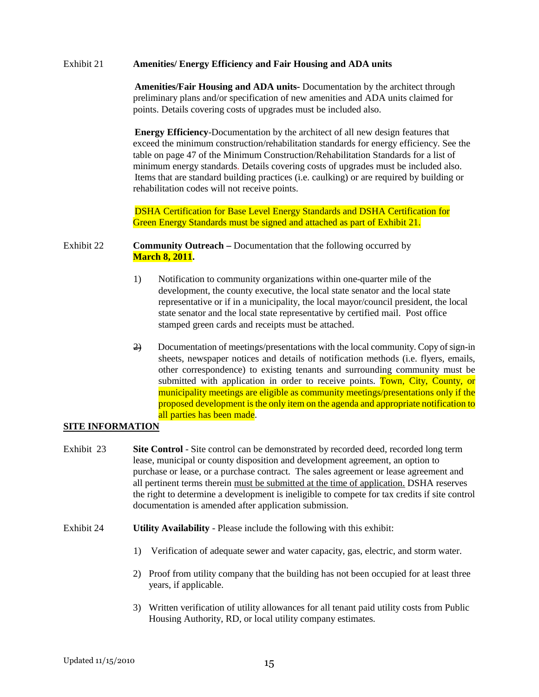#### Exhibit 21 **Amenities/ Energy Efficiency and Fair Housing and ADA units**

**Amenities/Fair Housing and ADA units-** Documentation by the architect through preliminary plans and/or specification of new amenities and ADA units claimed for points. Details covering costs of upgrades must be included also.

**Energy Efficiency**-Documentation by the architect of all new design features that exceed the minimum construction/rehabilitation standards for energy efficiency. See the table on page 47 of the Minimum Construction/Rehabilitation Standards for a list of minimum energy standards. Details covering costs of upgrades must be included also. Items that are standard building practices (i.e. caulking) or are required by building or rehabilitation codes will not receive points.

DSHA Certification for Base Level Energy Standards and DSHA Certification for Green Energy Standards must be signed and attached as part of Exhibit 21.

#### Exhibit 22 **Community Outreach –** Documentation that the following occurred by **March 8, 2011.**

- 1) Notification to community organizations within one-quarter mile of the development, the county executive, the local state senator and the local state representative or if in a municipality, the local mayor/council president, the local state senator and the local state representative by certified mail. Post office stamped green cards and receipts must be attached.
- 2) Documentation of meetings/presentations with the local community. Copy of sign-in sheets, newspaper notices and details of notification methods (i.e. flyers, emails, other correspondence) to existing tenants and surrounding community must be submitted with application in order to receive points. Town, City, County, or municipality meetings are eligible as community meetings/presentations only if the proposed development is the only item on the agenda and appropriate notification to all parties has been made.

#### **SITE INFORMATION**

- Exhibit 23 **Site Control** Site control can be demonstrated by recorded deed, recorded long term lease, municipal or county disposition and development agreement, an option to purchase or lease, or a purchase contract. The sales agreement or lease agreement and all pertinent terms therein must be submitted at the time of application. DSHA reserves the right to determine a development is ineligible to compete for tax credits if site control documentation is amended after application submission.
- Exhibit 24 **Utility Availability** Please include the following with this exhibit:
	- 1) Verification of adequate sewer and water capacity, gas, electric, and storm water.
	- 2) Proof from utility company that the building has not been occupied for at least three years, if applicable.
	- 3) Written verification of utility allowances for all tenant paid utility costs from Public Housing Authority, RD, or local utility company estimates.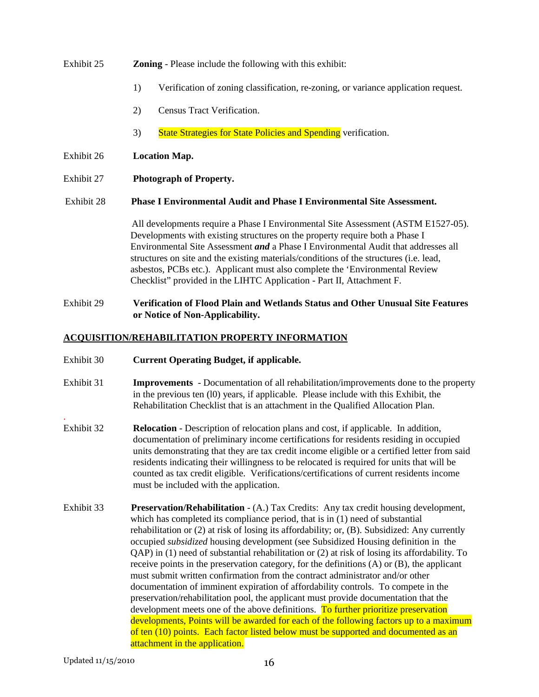## Exhibit 25 **Zoning** - Please include the following with this exhibit:

- 1) Verification of zoning classification, re-zoning, or variance application request.
- 2) Census Tract Verification.
- 3) State Strategies for State Policies and Spending verification.

#### Exhibit 26 **Location Map.**

Exhibit 27 **Photograph of Property.** 

Exhibit 28 **Phase I Environmental Audit and Phase I Environmental Site Assessment.** 

 All developments require a Phase I Environmental Site Assessment (ASTM E1527-05). Developments with existing structures on the property require both a Phase I Environmental Site Assessment *and* a Phase I Environmental Audit that addresses all structures on site and the existing materials/conditions of the structures (i.e. lead, asbestos, PCBs etc.). Applicant must also complete the 'Environmental Review Checklist" provided in the LIHTC Application - Part II, Attachment F.

Exhibit 29 **Verification of Flood Plain and Wetlands Status and Other Unusual Site Features or Notice of Non-Applicability.** 

#### **ACQUISITION/REHABILITATION PROPERTY INFORMATION**

- Exhibit 30 **Current Operating Budget, if applicable.**
- Exhibit 31 **Improvements** Documentation of all rehabilitation/improvements done to the property in the previous ten (l0) years, if applicable. Please include with this Exhibit, the Rehabilitation Checklist that is an attachment in the Qualified Allocation Plan.
- Exhibit 32 **Relocation** Description of relocation plans and cost, if applicable. In addition, documentation of preliminary income certifications for residents residing in occupied units demonstrating that they are tax credit income eligible or a certified letter from said residents indicating their willingness to be relocated is required for units that will be counted as tax credit eligible. Verifications/certifications of current residents income must be included with the application.
- Exhibit 33 **Preservation/Rehabilitation**  (A.) Tax Credits: Any tax credit housing development, which has completed its compliance period, that is in (1) need of substantial rehabilitation or (2) at risk of losing its affordability; or, (B). Subsidized: Any currently occupied *subsidized* housing development (see Subsidized Housing definition in the QAP) in (1) need of substantial rehabilitation or (2) at risk of losing its affordability. To receive points in the preservation category, for the definitions (A) or (B), the applicant must submit written confirmation from the contract administrator and/or other documentation of imminent expiration of affordability controls. To compete in the preservation/rehabilitation pool, the applicant must provide documentation that the development meets one of the above definitions. To further prioritize preservation developments, Points will be awarded for each of the following factors up to a maximum of ten (10) points. Each factor listed below must be supported and documented as an attachment in the application.

.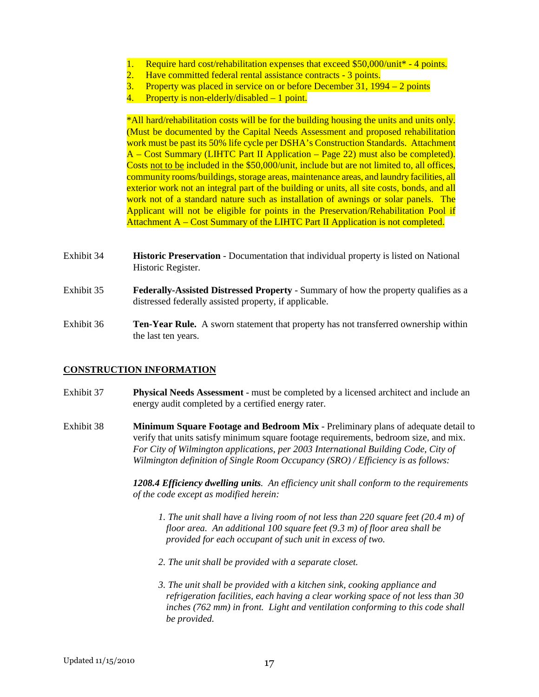- 1. Require hard cost/rehabilitation expenses that exceed \$50,000/unit\* 4 points.
- 2. Have committed federal rental assistance contracts 3 points.
- 3. Property was placed in service on or before December 31, 1994 2 points
- 4. Property is non-elderly/disabled 1 point.

\*All hard/rehabilitation costs will be for the building housing the units and units only. (Must be documented by the Capital Needs Assessment and proposed rehabilitation work must be past its 50% life cycle per DSHA's Construction Standards. Attachment A – Cost Summary (LIHTC Part II Application – Page 22) must also be completed). Costs not to be included in the \$50,000/unit, include but are not limited to, all offices, community rooms/buildings, storage areas, maintenance areas, and laundry facilities, all exterior work not an integral part of the building or units, all site costs, bonds, and all work not of a standard nature such as installation of awnings or solar panels. The Applicant will not be eligible for points in the Preservation/Rehabilitation Pool if Attachment A – Cost Summary of the LIHTC Part II Application is not completed.

- Exhibit 34 **Historic Preservation**  Documentation that individual property is listed on National Historic Register.
- Exhibit 35 **Federally-Assisted Distressed Property** Summary of how the property qualifies as a distressed federally assisted property, if applicable.
- Exhibit 36 **Ten-Year Rule.** A sworn statement that property has not transferred ownership within the last ten years.

#### **CONSTRUCTION INFORMATION**

- Exhibit 37 **Physical Needs Assessment** must be completed by a licensed architect and include an energy audit completed by a certified energy rater.
- Exhibit 38 **Minimum Square Footage and Bedroom Mix** Preliminary plans of adequate detail to verify that units satisfy minimum square footage requirements, bedroom size, and mix. *For City of Wilmington applications, per 2003 International Building Code, City of Wilmington definition of Single Room Occupancy (SRO) / Efficiency is as follows:*

 *1208.4 Efficiency dwelling units. An efficiency unit shall conform to the requirements of the code except as modified herein:* 

- *1. The unit shall have a living room of not less than 220 square feet (20.4 m) of floor area. An additional 100 square feet (9.3 m) of floor area shall be provided for each occupant of such unit in excess of two.*
- *2. The unit shall be provided with a separate closet.*
- *3. The unit shall be provided with a kitchen sink, cooking appliance and refrigeration facilities, each having a clear working space of not less than 30 inches (762 mm) in front. Light and ventilation conforming to this code shall be provided.*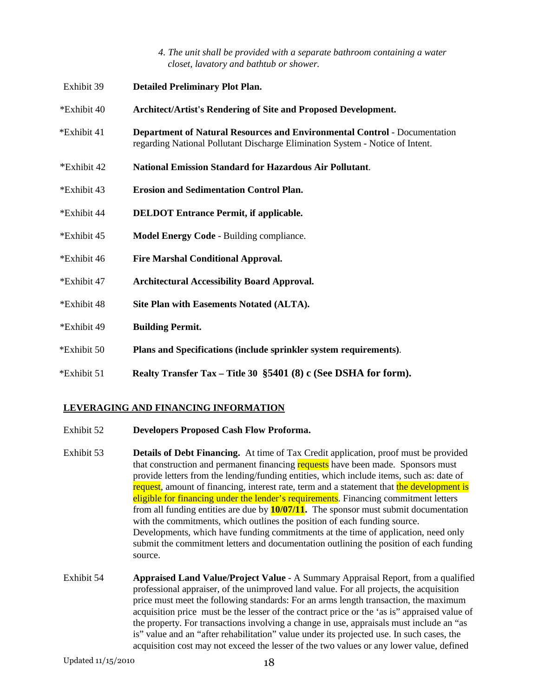*4. The unit shall be provided with a separate bathroom containing a water closet, lavatory and bathtub or shower.* 

| Exhibit 39  | <b>Detailed Preliminary Plot Plan.</b>                                                                                                                            |
|-------------|-------------------------------------------------------------------------------------------------------------------------------------------------------------------|
| *Exhibit 40 | Architect/Artist's Rendering of Site and Proposed Development.                                                                                                    |
| *Exhibit 41 | <b>Department of Natural Resources and Environmental Control - Documentation</b><br>regarding National Pollutant Discharge Elimination System - Notice of Intent. |
| *Exhibit 42 | <b>National Emission Standard for Hazardous Air Pollutant.</b>                                                                                                    |
| *Exhibit 43 | <b>Erosion and Sedimentation Control Plan.</b>                                                                                                                    |
| *Exhibit 44 | <b>DELDOT Entrance Permit, if applicable.</b>                                                                                                                     |
| *Exhibit 45 | <b>Model Energy Code - Building compliance.</b>                                                                                                                   |
| *Exhibit 46 | <b>Fire Marshal Conditional Approval.</b>                                                                                                                         |
| *Exhibit 47 | <b>Architectural Accessibility Board Approval.</b>                                                                                                                |
| *Exhibit 48 | Site Plan with Easements Notated (ALTA).                                                                                                                          |
| *Exhibit 49 | <b>Building Permit.</b>                                                                                                                                           |
| *Exhibit 50 | Plans and Specifications (include sprinkler system requirements).                                                                                                 |
| *Exhibit 51 | Realty Transfer Tax – Title 30 §5401 (8) c (See DSHA for form).                                                                                                   |

### **LEVERAGING AND FINANCING INFORMATION**

- Exhibit 52 **Developers Proposed Cash Flow Proforma.**
- Exhibit 53 **Details of Debt Financing.** At time of Tax Credit application, proof must be provided that construction and permanent financing requests have been made. Sponsors must provide letters from the lending/funding entities, which include items, such as: date of request, amount of financing, interest rate, term and a statement that the development is eligible for financing under the lender's requirements. Financing commitment letters from all funding entities are due by **10/07/11.** The sponsor must submit documentation with the commitments, which outlines the position of each funding source. Developments, which have funding commitments at the time of application, need only submit the commitment letters and documentation outlining the position of each funding source.
- Exhibit 54 **Appraised Land Value/Project Value** A Summary Appraisal Report, from a qualified professional appraiser, of the unimproved land value. For all projects, the acquisition price must meet the following standards: For an arms length transaction, the maximum acquisition price must be the lesser of the contract price or the 'as is" appraised value of the property. For transactions involving a change in use, appraisals must include an "as is" value and an "after rehabilitation" value under its projected use. In such cases, the acquisition cost may not exceed the lesser of the two values or any lower value, defined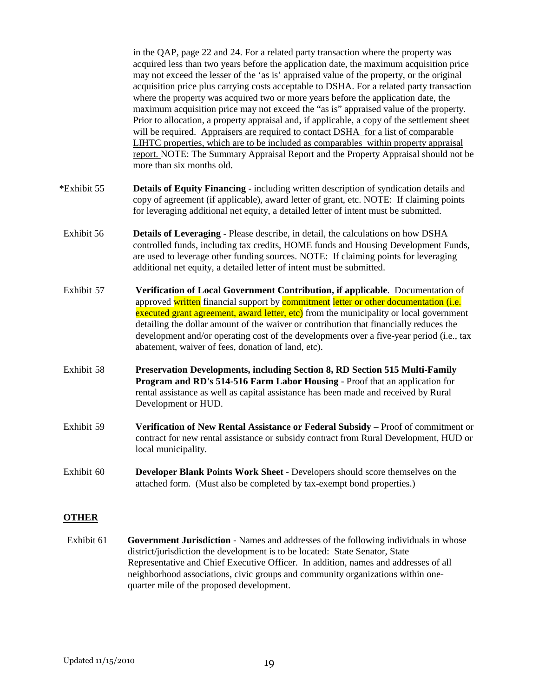in the QAP, page 22 and 24. For a related party transaction where the property was acquired less than two years before the application date, the maximum acquisition price may not exceed the lesser of the 'as is' appraised value of the property, or the original acquisition price plus carrying costs acceptable to DSHA. For a related party transaction where the property was acquired two or more years before the application date, the maximum acquisition price may not exceed the "as is" appraised value of the property. Prior to allocation, a property appraisal and, if applicable, a copy of the settlement sheet will be required. Appraisers are required to contact DSHA for a list of comparable LIHTC properties, which are to be included as comparables within property appraisal report. NOTE: The Summary Appraisal Report and the Property Appraisal should not be more than six months old.

- \*Exhibit 55 **Details of Equity Financing** including written description of syndication details and copy of agreement (if applicable), award letter of grant, etc. NOTE: If claiming points for leveraging additional net equity, a detailed letter of intent must be submitted.
- Exhibit 56 **Details of Leveraging** Please describe, in detail, the calculations on how DSHA controlled funds, including tax credits, HOME funds and Housing Development Funds, are used to leverage other funding sources. NOTE: If claiming points for leveraging additional net equity, a detailed letter of intent must be submitted.
- Exhibit 57 **Verification of Local Government Contribution, if applicable**. Documentation of approved written financial support by commitment letter or other documentation (i.e. executed grant agreement, award letter, etc) from the municipality or local government detailing the dollar amount of the waiver or contribution that financially reduces the development and/or operating cost of the developments over a five-year period (i.e., tax abatement, waiver of fees, donation of land, etc).
- Exhibit 58 **Preservation Developments, including Section 8, RD Section 515 Multi-Family Program and RD's 514-516 Farm Labor Housing** - Proof that an application for rental assistance as well as capital assistance has been made and received by Rural Development or HUD.
- Exhibit 59 **Verification of New Rental Assistance or Federal Subsidy** Proof of commitment or contract for new rental assistance or subsidy contract from Rural Development, HUD or local municipality.
- Exhibit 60 **Developer Blank Points Work Sheet** Developers should score themselves on the attached form. (Must also be completed by tax-exempt bond properties.)

#### **OTHER**

Exhibit 61 **Government Jurisdiction** - Names and addresses of the following individuals in whose district/jurisdiction the development is to be located: State Senator, State Representative and Chief Executive Officer. In addition, names and addresses of all neighborhood associations, civic groups and community organizations within one quarter mile of the proposed development.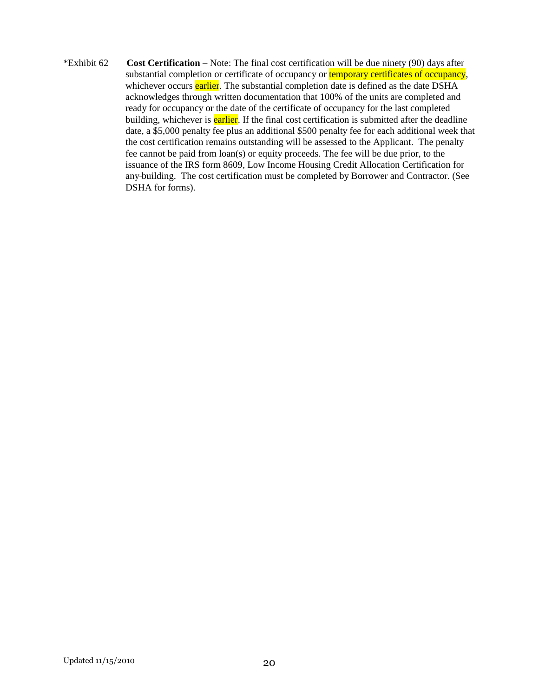\*Exhibit 62 **Cost Certification –** Note: The final cost certification will be due ninety (90) days after substantial completion or certificate of occupancy or **temporary certificates of occupancy**, whichever occurs earlier. The substantial completion date is defined as the date DSHA acknowledges through written documentation that 100% of the units are completed and ready for occupancy or the date of the certificate of occupancy for the last completed building, whichever is **earlier**. If the final cost certification is submitted after the deadline date, a \$5,000 penalty fee plus an additional \$500 penalty fee for each additional week that the cost certification remains outstanding will be assessed to the Applicant. The penalty fee cannot be paid from loan(s) or equity proceeds. The fee will be due prior, to the issuance of the IRS form 8609, Low Income Housing Credit Allocation Certification for any building. The cost certification must be completed by Borrower and Contractor. (See DSHA for forms).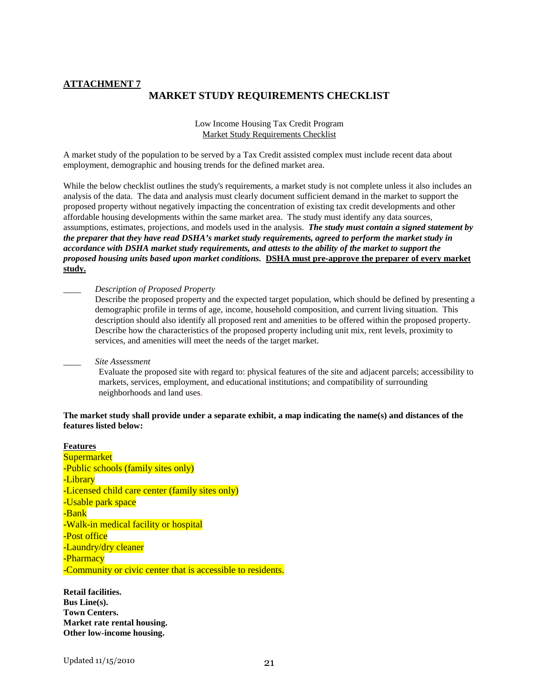#### **ATTACHMENT 7 MARKET STUDY REQUIREMENTS CHECKLIST**

Low Income Housing Tax Credit Program Market Study Requirements Checklist

A market study of the population to be served by a Tax Credit assisted complex must include recent data about employment, demographic and housing trends for the defined market area.

While the below checklist outlines the study's requirements, a market study is not complete unless it also includes an analysis of the data. The data and analysis must clearly document sufficient demand in the market to support the proposed property without negatively impacting the concentration of existing tax credit developments and other affordable housing developments within the same market area. The study must identify any data sources, assumptions, estimates, projections, and models used in the analysis. *The study must contain a signed statement by the preparer that they have read DSHA's market study requirements, agreed to perform the market study in accordance with DSHA market study requirements, and attests to the ability of the market to support the proposed housing units based upon market conditions.* **DSHA must pre-approve the preparer of every market study.**

\_\_\_\_ *Description of Proposed Property*

Describe the proposed property and the expected target population, which should be defined by presenting a demographic profile in terms of age, income, household composition, and current living situation. This description should also identify all proposed rent and amenities to be offered within the proposed property. Describe how the characteristics of the proposed property including unit mix, rent levels, proximity to services, and amenities will meet the needs of the target market.

#### \_\_\_\_ *Site Assessment*

Evaluate the proposed site with regard to: physical features of the site and adjacent parcels; accessibility to markets, services, employment, and educational institutions; and compatibility of surrounding neighborhoods and land uses.

#### **The market study shall provide under a separate exhibit, a map indicating the name(s) and distances of the features listed below:**

**Features Supermarket** -Public schools (family sites only) -Library -Licensed child care center (family sites only) -Usable park space -Bank -Walk-in medical facility or hospital -Post office -Laundry/dry cleaner -Pharmacy -Community or civic center that is accessible to residents.

**Retail facilities. Bus Line(s). Town Centers. Market rate rental housing. Other low-income housing.**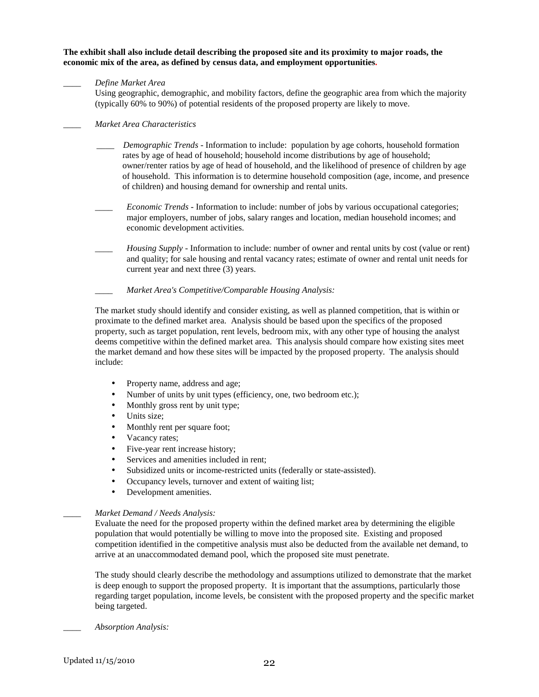**The exhibit shall also include detail describing the proposed site and its proximity to major roads, the economic mix of the area, as defined by census data, and employment opportunities.** 

#### \_\_\_\_ *Define Market Area*

Using geographic, demographic, and mobility factors, define the geographic area from which the majority (typically 60% to 90%) of potential residents of the proposed property are likely to move.

#### \_\_\_\_ *Market Area Characteristics*

- \_\_\_\_ *Demographic Trends* Information to include: population by age cohorts, household formation rates by age of head of household; household income distributions by age of household; owner/renter ratios by age of head of household, and the likelihood of presence of children by age of household. This information is to determine household composition (age, income, and presence of children) and housing demand for ownership and rental units.
- *Economic Trends* Information to include: number of jobs by various occupational categories; major employers, number of jobs, salary ranges and location, median household incomes; and economic development activities.
- \_\_\_\_ *Housing Supply* Information to include: number of owner and rental units by cost (value or rent) and quality; for sale housing and rental vacancy rates; estimate of owner and rental unit needs for current year and next three (3) years.
- \_\_\_\_ *Market Area's Competitive/Comparable Housing Analysis:*

The market study should identify and consider existing, as well as planned competition, that is within or proximate to the defined market area. Analysis should be based upon the specifics of the proposed property, such as target population, rent levels, bedroom mix, with any other type of housing the analyst deems competitive within the defined market area. This analysis should compare how existing sites meet the market demand and how these sites will be impacted by the proposed property. The analysis should include:

- Property name, address and age;
- Number of units by unit types (efficiency, one, two bedroom etc.);
- Monthly gross rent by unit type;
- Units size:
- Monthly rent per square foot;
- Vacancy rates;
- Five-year rent increase history;
- Services and amenities included in rent;
- Subsidized units or income-restricted units (federally or state-assisted).
- Occupancy levels, turnover and extent of waiting list;
- Development amenities.

#### \_\_\_\_ *Market Demand / Needs Analysis:*

Evaluate the need for the proposed property within the defined market area by determining the eligible population that would potentially be willing to move into the proposed site. Existing and proposed competition identified in the competitive analysis must also be deducted from the available net demand, to arrive at an unaccommodated demand pool, which the proposed site must penetrate.

The study should clearly describe the methodology and assumptions utilized to demonstrate that the market is deep enough to support the proposed property. It is important that the assumptions, particularly those regarding target population, income levels, be consistent with the proposed property and the specific market being targeted.

*\_\_\_\_ Absorption Analysis:*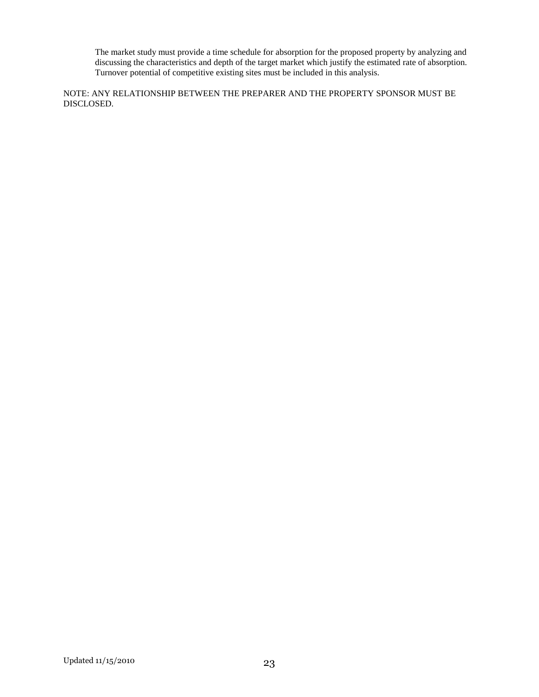The market study must provide a time schedule for absorption for the proposed property by analyzing and discussing the characteristics and depth of the target market which justify the estimated rate of absorption. Turnover potential of competitive existing sites must be included in this analysis.

NOTE: ANY RELATIONSHIP BETWEEN THE PREPARER AND THE PROPERTY SPONSOR MUST BE DISCLOSED.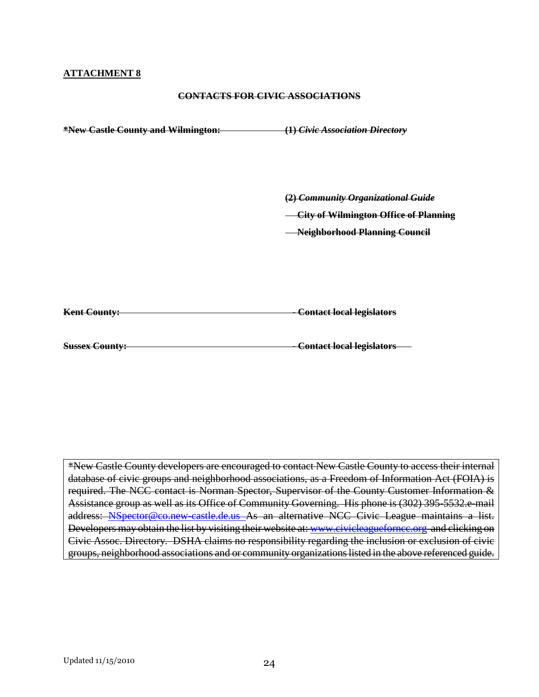#### **ATTACHMENT 8**

#### **CONTACTS FOR CIVIC ASSOCIATIONS**

| *New Castle County and Wilmington: | (1) Civic Association Directory                                                                                            |
|------------------------------------|----------------------------------------------------------------------------------------------------------------------------|
|                                    | (2) Community Organizational Guide<br><b>City of Wilmington Office of Planning</b><br><b>Neighborhood Planning Council</b> |
| <b>Kent County:</b>                | <b>Contact local legislators</b>                                                                                           |
| <b>Sussex County:</b>              | <b>Contact local legislators</b>                                                                                           |

\*New Castle County developers are encouraged to contact New Castle County to access their internal database of civic groups and neighborhood associations, as a Freedom of Information Act (FOIA) is required. The NCC contact is Norman Spector, Supervisor of the County Customer Information & Assistance group as well as its Office of Community Governing. His phone is (302) 395-5532.e-mail address: NSpector@co.new-castle.de.us As an alternative NCC Civic League maintains a list. Developers may obtain the list by visiting their website at: www.civicleaguefornce.org and clicking on Civic Assoc. Directory. DSHA claims no responsibility regarding the inclusion or exclusion of civic groups, neighborhood associations and or community organizations listed in the above referenced guide.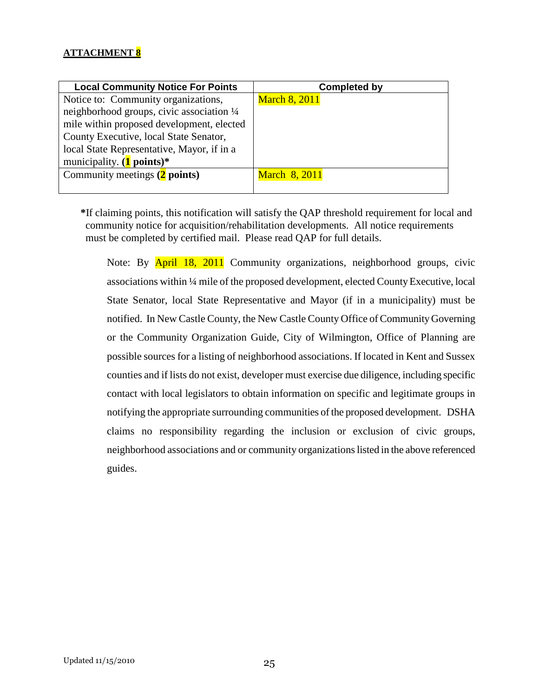## **ATTACHMENT 8**

| <b>Local Community Notice For Points</b>   | <b>Completed by</b>  |
|--------------------------------------------|----------------------|
| Notice to: Community organizations,        | <b>March 8, 2011</b> |
| neighborhood groups, civic association 1/4 |                      |
| mile within proposed development, elected  |                      |
| County Executive, local State Senator,     |                      |
| local State Representative, Mayor, if in a |                      |
| municipality. $(1$ points)*                |                      |
| Community meetings (2 points)              | <b>March 8, 2011</b> |
|                                            |                      |

**\***If claiming points, this notification will satisfy the QAP threshold requirement for local and community notice for acquisition/rehabilitation developments. All notice requirements must be completed by certified mail. Please read QAP for full details.

Note: By April 18, 2011 Community organizations, neighborhood groups, civic associations within ¼ mile of the proposed development, elected County Executive, local State Senator, local State Representative and Mayor (if in a municipality) must be notified. In New Castle County, the New Castle County Office of Community Governing or the Community Organization Guide, City of Wilmington, Office of Planning are possible sources for a listing of neighborhood associations. If located in Kent and Sussex counties and if lists do not exist, developer must exercise due diligence, including specific contact with local legislators to obtain information on specific and legitimate groups in notifying the appropriate surrounding communities of the proposed development. DSHA claims no responsibility regarding the inclusion or exclusion of civic groups, neighborhood associations and or community organizations listed in the above referenced guides.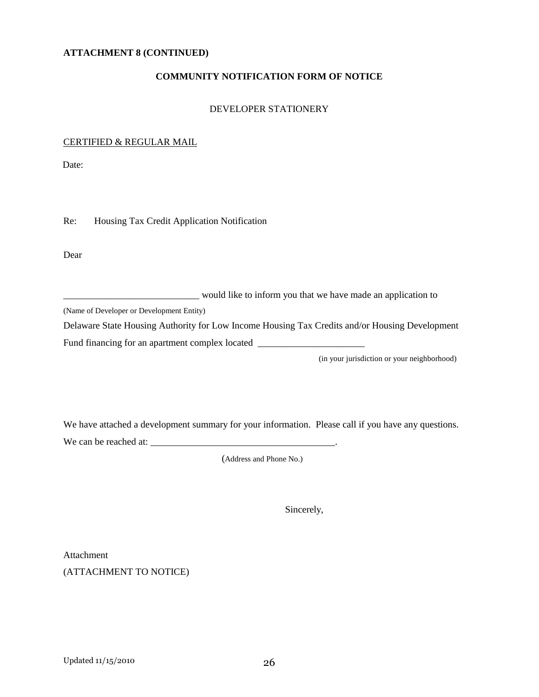#### **ATTACHMENT 8 (CONTINUED)**

#### **COMMUNITY NOTIFICATION FORM OF NOTICE**

#### DEVELOPER STATIONERY

#### CERTIFIED & REGULAR MAIL

Date:

Re: Housing Tax Credit Application Notification

Dear

\_\_\_\_\_\_\_\_\_\_\_\_\_\_\_\_\_\_\_\_\_\_\_\_\_\_\_\_ would like to inform you that we have made an application to

(Name of Developer or Development Entity)

Delaware State Housing Authority for Low Income Housing Tax Credits and/or Housing Development

Fund financing for an apartment complex located \_\_\_\_\_\_\_\_\_\_\_\_\_\_\_\_\_\_\_\_\_\_\_\_\_\_\_\_\_\_\_\_\_

(in your jurisdiction or your neighborhood)

We have attached a development summary for your information. Please call if you have any questions.

We can be reached at: \_\_\_\_\_\_\_\_\_\_\_\_\_\_\_\_\_\_\_\_\_\_\_\_\_\_\_\_\_\_\_\_\_\_\_\_\_\_.

(Address and Phone No.)

Sincerely,

Attachment (ATTACHMENT TO NOTICE)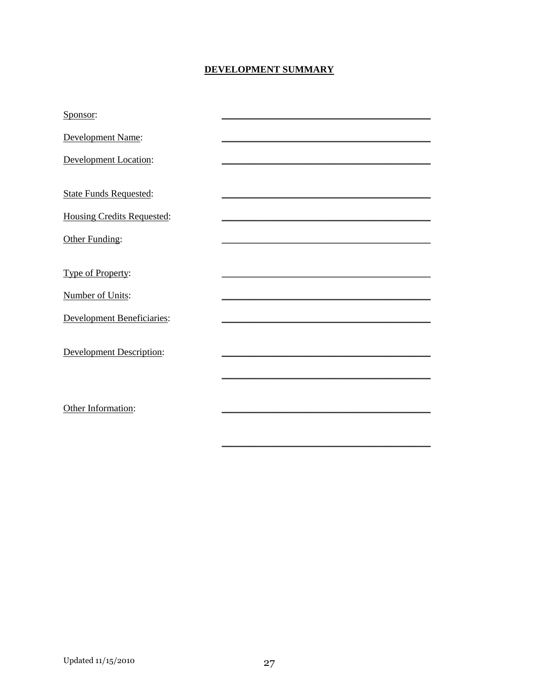## DEVELOPMENT SUMMARY

| Sponsor:                          |  |
|-----------------------------------|--|
| Development Name:                 |  |
| <b>Development Location:</b>      |  |
|                                   |  |
| <b>State Funds Requested:</b>     |  |
| <b>Housing Credits Requested:</b> |  |
| Other Funding:                    |  |
|                                   |  |
| Type of Property:                 |  |
| <b>Number of Units:</b>           |  |
| <b>Development Beneficiaries:</b> |  |
|                                   |  |
| <b>Development Description:</b>   |  |
|                                   |  |
|                                   |  |
| Other Information:                |  |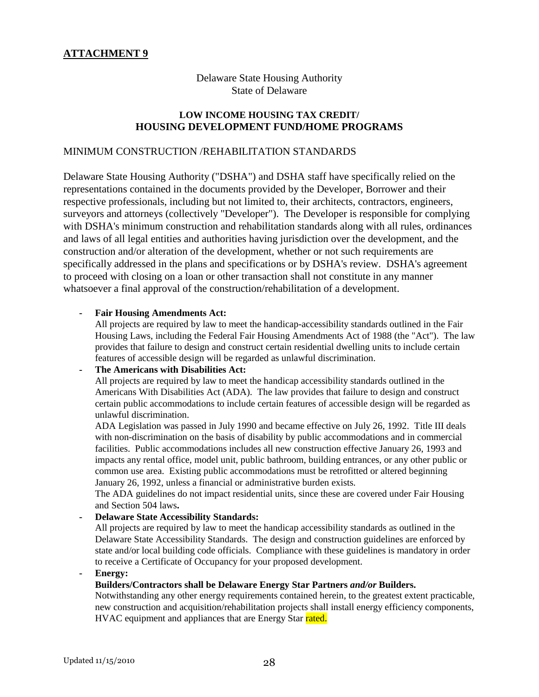## **ATTACHMENT 9**

## Delaware State Housing Authority State of Delaware

#### **LOW INCOME HOUSING TAX CREDIT/ HOUSING DEVELOPMENT FUND/HOME PROGRAMS**

#### MINIMUM CONSTRUCTION /REHABILITATION STANDARDS

Delaware State Housing Authority ("DSHA") and DSHA staff have specifically relied on the representations contained in the documents provided by the Developer, Borrower and their respective professionals, including but not limited to, their architects, contractors, engineers, surveyors and attorneys (collectively "Developer"). The Developer is responsible for complying with DSHA's minimum construction and rehabilitation standards along with all rules, ordinances and laws of all legal entities and authorities having jurisdiction over the development, and the construction and/or alteration of the development, whether or not such requirements are specifically addressed in the plans and specifications or by DSHA's review. DSHA's agreement to proceed with closing on a loan or other transaction shall not constitute in any manner whatsoever a final approval of the construction/rehabilitation of a development.

#### **- Fair Housing Amendments Act:**

All projects are required by law to meet the handicap-accessibility standards outlined in the Fair Housing Laws, including the Federal Fair Housing Amendments Act of 1988 (the "Act"). The law provides that failure to design and construct certain residential dwelling units to include certain features of accessible design will be regarded as unlawful discrimination.

#### **The Americans with Disabilities Act:**

All projects are required by law to meet the handicap accessibility standards outlined in the Americans With Disabilities Act (ADA). The law provides that failure to design and construct certain public accommodations to include certain features of accessible design will be regarded as unlawful discrimination.

 ADA Legislation was passed in July 1990 and became effective on July 26, 1992. Title III deals with non-discrimination on the basis of disability by public accommodations and in commercial facilities. Public accommodations includes all new construction effective January 26, 1993 and impacts any rental office, model unit, public bathroom, building entrances, or any other public or common use area. Existing public accommodations must be retrofitted or altered beginning January 26, 1992, unless a financial or administrative burden exists.

 The ADA guidelines do not impact residential units, since these are covered under Fair Housing and Section 504 laws**.** 

#### **- Delaware State Accessibility Standards:**

 All projects are required by law to meet the handicap accessibility standards as outlined in the Delaware State Accessibility Standards. The design and construction guidelines are enforced by state and/or local building code officials. Compliance with these guidelines is mandatory in order to receive a Certificate of Occupancy for your proposed development.

**- Energy:** 

#### **Builders/Contractors shall be Delaware Energy Star Partners** *and/or* **Builders.**

Notwithstanding any other energy requirements contained herein, to the greatest extent practicable, new construction and acquisition/rehabilitation projects shall install energy efficiency components, HVAC equipment and appliances that are Energy Star rated.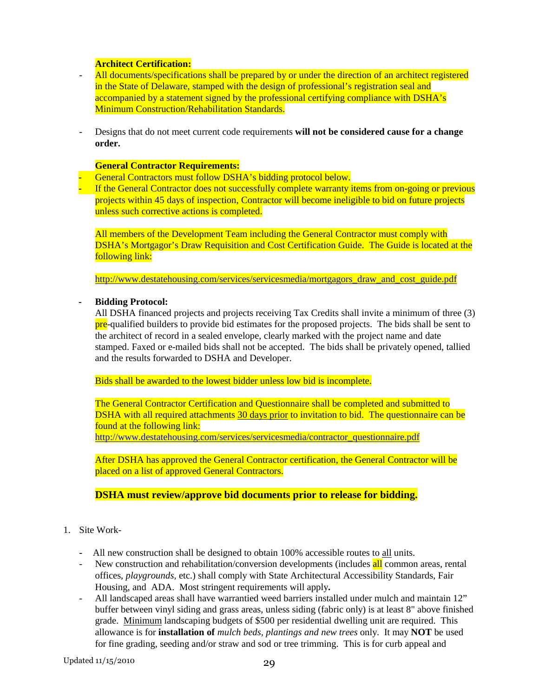#### **Architect Certification:**

- All documents/specifications shall be prepared by or under the direction of an architect registered in the State of Delaware, stamped with the design of professional's registration seal and accompanied by a statement signed by the professional certifying compliance with DSHA's Minimum Construction/Rehabilitation Standards.
- Designs that do not meet current code requirements **will not be considered cause for a change order.**

#### **General Contractor Requirements:**

- **-** General Contractors must follow DSHA's bidding protocol below.
- **-** If the General Contractor does not successfully complete warranty items from on-going or previous projects within 45 days of inspection, Contractor will become ineligible to bid on future projects unless such corrective actions is completed.

All members of the Development Team including the General Contractor must comply with DSHA's Mortgagor's Draw Requisition and Cost Certification Guide. The Guide is located at the following link:

http://www.destatehousing.com/services/servicesmedia/mortgagors\_draw\_and\_cost\_guide.pdf

#### **- Bidding Protocol:**

All DSHA financed projects and projects receiving Tax Credits shall invite a minimum of three (3) pre-qualified builders to provide bid estimates for the proposed projects. The bids shall be sent to the architect of record in a sealed envelope, clearly marked with the project name and date stamped. Faxed or e-mailed bids shall not be accepted. The bids shall be privately opened, tallied and the results forwarded to DSHA and Developer.

Bids shall be awarded to the lowest bidder unless low bid is incomplete.

The General Contractor Certification and Questionnaire shall be completed and submitted to DSHA with all required attachments 30 days prior to invitation to bid. The questionnaire can be found at the following link: http://www.destatehousing.com/services/servicesmedia/contractor\_questionnaire.pdf

After DSHA has approved the General Contractor certification, the General Contractor will be placed on a list of approved General Contractors.

#### **DSHA must review/approve bid documents prior to release for bidding.**

- 1. Site Work-
	- All new construction shall be designed to obtain 100% accessible routes to all units.
	- New construction and rehabilitation/conversion developments (includes all common areas, rental offices, *playgrounds,* etc.) shall comply with State Architectural Accessibility Standards, Fair Housing, and ADA. Most stringent requirements will apply**.**
	- All landscaped areas shall have warrantied weed barriers installed under mulch and maintain 12" buffer between vinyl siding and grass areas, unless siding (fabric only) is at least 8" above finished grade. Minimum landscaping budgets of \$500 per residential dwelling unit are required. This allowance is for **installation of** *mulch beds, plantings and new trees* only. It may **NOT** be used for fine grading, seeding and/or straw and sod or tree trimming. This is for curb appeal and

Updated 11/15/2010 29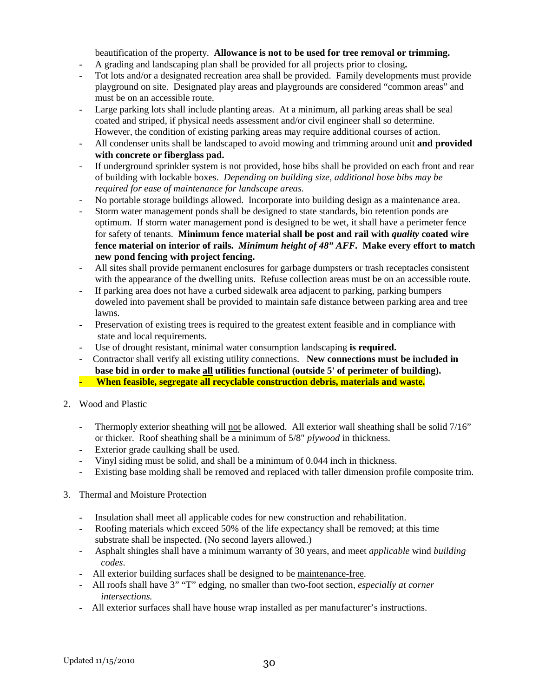beautification of the property. **Allowance is not to be used for tree removal or trimming.**

- A grading and landscaping plan shall be provided for all projects prior to closing**.**
- Tot lots and/or a designated recreation area shall be provided. Family developments must provide playground on site. Designated play areas and playgrounds are considered "common areas" and must be on an accessible route.
- Large parking lots shall include planting areas. At a minimum, all parking areas shall be seal coated and striped, if physical needs assessment and/or civil engineer shall so determine. However, the condition of existing parking areas may require additional courses of action.
- All condenser units shall be landscaped to avoid mowing and trimming around unit **and provided with concrete or fiberglass pad.**
- If underground sprinkler system is not provided, hose bibs shall be provided on each front and rear of building with lockable boxes. *Depending on building size, additional hose bibs may be required for ease of maintenance for landscape areas.*
- No portable storage buildings allowed. Incorporate into building design as a maintenance area.
- Storm water management ponds shall be designed to state standards, bio retention ponds are optimum. If storm water management pond is designed to be wet, it shall have a perimeter fence for safety of tenants. **Minimum fence material shall be post and rail with** *quality* **coated wire fence material on interior of rails.** *Minimum height of 48" AFF.* **Make every effort to match new pond fencing with project fencing.**
- All sites shall provide permanent enclosures for garbage dumpsters or trash receptacles consistent with the appearance of the dwelling units. Refuse collection areas must be on an accessible route.
- If parking area does not have a curbed sidewalk area adjacent to parking, parking bumpers doweled into pavement shall be provided to maintain safe distance between parking area and tree lawns.
- **-** Preservation of existing trees is required to the greatest extent feasible and in compliance with state and local requirements.
- Use of drought resistant, minimal water consumption landscaping **is required.**
- Contractor shall verify all existing utility connections. **New connections must be included in base bid in order to make all utilities functional (outside 5' of perimeter of building).**
- **When feasible, segregate all recyclable construction debris, materials and waste.**
- 2. Wood and Plastic
	- Thermoply exterior sheathing will not be allowed. All exterior wall sheathing shall be solid 7/16" or thicker. Roof sheathing shall be a minimum of 5/8" *plywood* in thickness.
	- Exterior grade caulking shall be used.
	- Vinyl siding must be solid, and shall be a minimum of 0.044 inch in thickness.
	- Existing base molding shall be removed and replaced with taller dimension profile composite trim.
- 3. Thermal and Moisture Protection
	- Insulation shall meet all applicable codes for new construction and rehabilitation.
	- Roofing materials which exceed 50% of the life expectancy shall be removed; at this time substrate shall be inspected. (No second layers allowed.)
	- Asphalt shingles shall have a minimum warranty of 30 years, and meet *applicable* wind *building codes*.
	- All exterior building surfaces shall be designed to be maintenance-free.
	- All roofs shall have 3" "T" edging, no smaller than two-foot section*, especially at corner intersections.*
	- All exterior surfaces shall have house wrap installed as per manufacturer's instructions.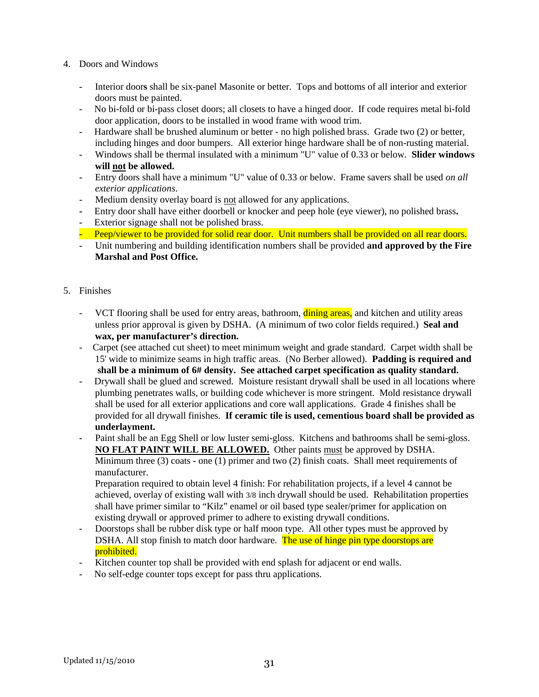- 4. Doors and Windows
	- Interior door**s** shall be six-panel Masonite or better. Tops and bottoms of all interior and exterior doors must be painted.
	- No bi-fold or bi-pass closet doors; all closets to have a hinged door. If code requires metal bi-fold door application, doors to be installed in wood frame with wood trim.
	- Hardware shall be brushed aluminum or better no high polished brass. Grade two (2) or better, including hinges and door bumpers. All exterior hinge hardware shall be of non-rusting material.
	- Windows shall be thermal insulated with a minimum "U" value of 0.33 or below. **Slider windows will not be allowed.**
	- Entry doors shall have a minimum "U" value of 0.33 or below. Frame savers shall be used *on all exterior applications*.
	- Medium density overlay board is not allowed for any applications.
	- Entry door shall have either doorbell or knocker and peep hole (eye viewer), no polished brass**.**
	- Exterior signage shall not be polished brass.
	- Peep/viewer to be provided for solid rear door. Unit numbers shall be provided on all rear doors.
	- Unit numbering and building identification numbers shall be provided **and approved by the Fire Marshal and Post Office.**
- 5. Finishes
	- VCT flooring shall be used for entry areas, bathroom, **dining areas**, and kitchen and utility areas unless prior approval is given by DSHA. (A minimum of two color fields required.) **Seal and wax, per manufacturer's direction.**
	- Carpet (see attached cut sheet) to meet minimum weight and grade standard. Carpet width shall be 15' wide to minimize seams in high traffic areas. (No Berber allowed). **Padding is required and**  shall be a minimum of  $6#$  density. See attached carpet specification as quality standard.
	- Drywall shall be glued and screwed. Moisture resistant drywall shall be used in all locations where plumbing penetrates walls, or building code whichever is more stringent. Mold resistance drywall shall be used for all exterior applications and core wall applications. Grade 4 finishes shall be provided for all drywall finishes. **If ceramic tile is used, cementious board shall be provided as underlayment.**
	- Paint shall be an Egg Shell or low luster semi-gloss. Kitchens and bathrooms shall be semi-gloss. **NO FLAT PAINT WILL BE ALLOWED.** Other paints must be approved by DSHA. Minimum three (3) coats - one (1) primer and two (2) finish coats. Shall meet requirements of manufacturer.

Preparation required to obtain level 4 finish: For rehabilitation projects, if a level 4 cannot be achieved, overlay of existing wall with 3/8 inch drywall should be used. Rehabilitation properties shall have primer similar to "Kilz" enamel or oil based type sealer/primer for application on existing drywall or approved primer to adhere to existing drywall conditions.

- Doorstops shall be rubber disk type or half moon type. All other types must be approved by DSHA. All stop finish to match door hardware. The use of hinge pin type doorstops are prohibited.
- Kitchen counter top shall be provided with end splash for adjacent or end walls.
- No self-edge counter tops except for pass thru applications.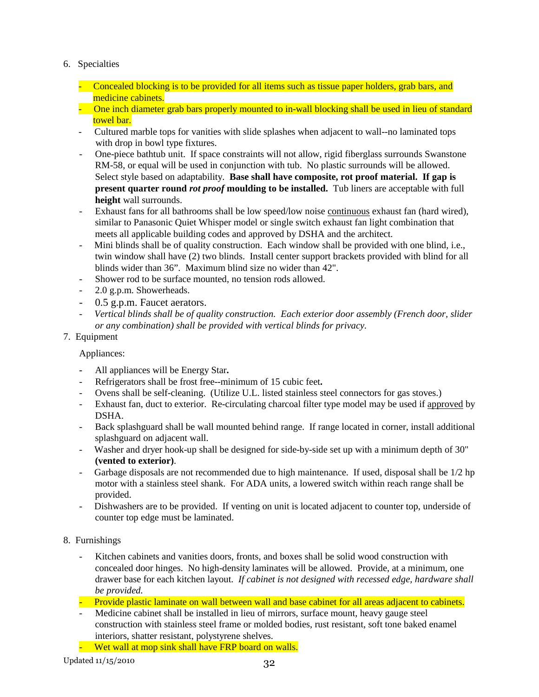- 6. Specialties
	- Concealed blocking is to be provided for all items such as tissue paper holders, grab bars, and medicine cabinets.
	- One inch diameter grab bars properly mounted to in-wall blocking shall be used in lieu of standard towel bar.
	- Cultured marble tops for vanities with slide splashes when adjacent to wall--no laminated tops with drop in bowl type fixtures.
	- One-piece bathtub unit. If space constraints will not allow, rigid fiberglass surrounds Swanstone RM-58, or equal will be used in conjunction with tub. No plastic surrounds will be allowed. Select style based on adaptability. **Base shall have composite, rot proof material. If gap is present quarter round** *rot proof* **moulding to be installed.** Tub liners are acceptable with full **height** wall surrounds.
	- Exhaust fans for all bathrooms shall be low speed/low noise continuous exhaust fan (hard wired), similar to Panasonic Quiet Whisper model or single switch exhaust fan light combination that meets all applicable building codes and approved by DSHA and the architect.
	- Mini blinds shall be of quality construction. Each window shall be provided with one blind, i.e., twin window shall have (2) two blinds. Install center support brackets provided with blind for all blinds wider than 36". Maximum blind size no wider than 42".
	- Shower rod to be surface mounted, no tension rods allowed.
	- 2.0 g.p.m. Showerheads.
	- 0.5 g.p.m. Faucet aerators.
	- *Vertical blinds shall be of quality construction. Each exterior door assembly (French door, slider or any combination) shall be provided with vertical blinds for privacy.*
- 7. Equipment

#### Appliances:

- All appliances will be Energy Star**.**
- Refrigerators shall be frost free--minimum of 15 cubic feet**.**
- Ovens shall be self-cleaning. (Utilize U.L. listed stainless steel connectors for gas stoves.)
- Exhaust fan, duct to exterior. Re-circulating charcoal filter type model may be used if approved by DSHA.
- Back splashguard shall be wall mounted behind range. If range located in corner, install additional splashguard on adjacent wall.
- Washer and dryer hook-up shall be designed for side-by-side set up with a minimum depth of 30" **(vented to exterior)**.
- Garbage disposals are not recommended due to high maintenance. If used, disposal shall be 1/2 hp motor with a stainless steel shank. For ADA units, a lowered switch within reach range shall be provided.
- Dishwashers are to be provided. If venting on unit is located adjacent to counter top, underside of counter top edge must be laminated.

### 8. Furnishings

- Kitchen cabinets and vanities doors, fronts, and boxes shall be solid wood construction with concealed door hinges. No high-density laminates will be allowed. Provide, at a minimum, one drawer base for each kitchen layout. *If cabinet is not designed with recessed edge, hardware shall be provided.*
- Provide plastic laminate on wall between wall and base cabinet for all areas adjacent to cabinets.
- Medicine cabinet shall be installed in lieu of mirrors, surface mount, heavy gauge steel construction with stainless steel frame or molded bodies, rust resistant, soft tone baked enamel interiors, shatter resistant, polystyrene shelves.
- Wet wall at mop sink shall have FRP board on walls.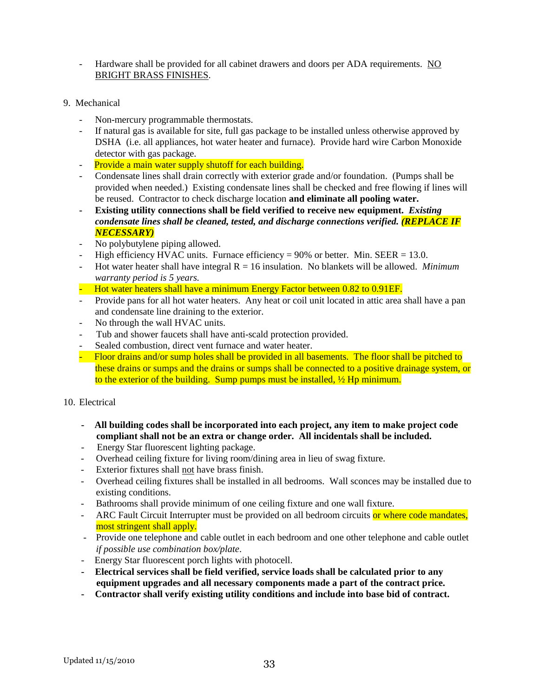- Hardware shall be provided for all cabinet drawers and doors per ADA requirements. NO BRIGHT BRASS FINISHES.
- 9. Mechanical
	- Non-mercury programmable thermostats.
	- If natural gas is available for site, full gas package to be installed unless otherwise approved by DSHA (i.e. all appliances, hot water heater and furnace). Provide hard wire Carbon Monoxide detector with gas package.
	- Provide a main water supply shutoff for each building.
	- Condensate lines shall drain correctly with exterior grade and/or foundation. (Pumps shall be provided when needed.) Existing condensate lines shall be checked and free flowing if lines will be reused. Contractor to check discharge location **and eliminate all pooling water.**
	- **Existing utility connections shall be field verified to receive new equipment.** *Existing condensate lines shall be cleaned, tested, and discharge connections verified. (REPLACE IF NECESSARY)*
	- No polybutylene piping allowed.
	- High efficiency HVAC units. Furnace efficiency =  $90\%$  or better. Min. SEER = 13.0.
	- Hot water heater shall have integral R = 16 insulation. No blankets will be allowed. *Minimum warranty period is 5 years.*
	- Hot water heaters shall have a minimum Energy Factor between 0.82 to 0.91EF.
	- Provide pans for all hot water heaters. Any heat or coil unit located in attic area shall have a pan and condensate line draining to the exterior.
	- No through the wall HVAC units.
	- Tub and shower faucets shall have anti-scald protection provided.
	- Sealed combustion, direct vent furnace and water heater.
	- Floor drains and/or sump holes shall be provided in all basements. The floor shall be pitched to these drains or sumps and the drains or sumps shall be connected to a positive drainage system, or to the exterior of the building. Sump pumps must be installed,  $\frac{1}{2}$  Hp minimum.

#### 10. Electrical

- **All building codes shall be incorporated into each project, any item to make project code compliant shall not be an extra or change order. All incidentals shall be included.**
- Energy Star fluorescent lighting package.
- Overhead ceiling fixture for living room/dining area in lieu of swag fixture.
- Exterior fixtures shall not have brass finish.
- Overhead ceiling fixtures shall be installed in all bedrooms. Wall sconces may be installed due to existing conditions.
- Bathrooms shall provide minimum of one ceiling fixture and one wall fixture.
- ARC Fault Circuit Interrupter must be provided on all bedroom circuits or where code mandates, most stringent shall apply.
- Provide one telephone and cable outlet in each bedroom and one other telephone and cable outlet *if possible use combination box/plate*.
- Energy Star fluorescent porch lights with photocell.
- **Electrical services shall be field verified, service loads shall be calculated prior to any equipment upgrades and all necessary components made a part of the contract price.**
- **Contractor shall verify existing utility conditions and include into base bid of contract.**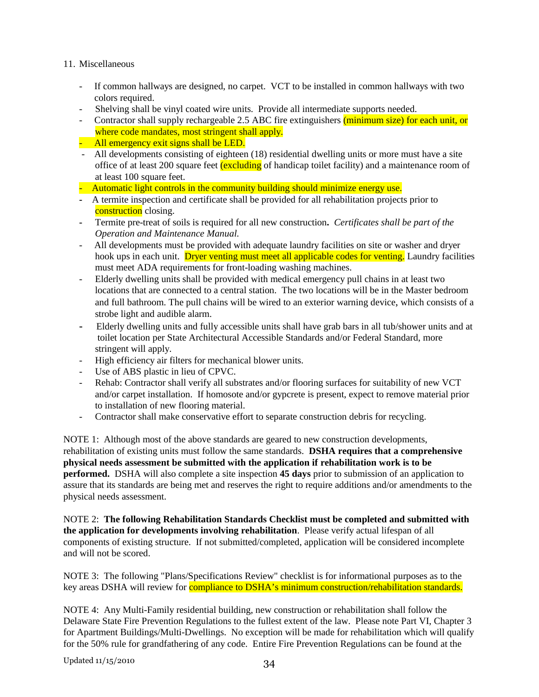#### 11. Miscellaneous

- If common hallways are designed, no carpet. VCT to be installed in common hallways with two colors required.
- Shelving shall be vinyl coated wire units. Provide all intermediate supports needed.
- Contractor shall supply rechargeable 2.5 ABC fire extinguishers (minimum size) for each unit, or where code mandates, most stringent shall apply.
- $-$  All emergency exit signs shall be LED.
- All developments consisting of eighteen (18) residential dwelling units or more must have a site office of at least 200 square feet *(excluding* of handicap toilet facility) and a maintenance room of at least 100 square feet.

- Automatic light controls in the community building should minimize energy use.

- A termite inspection and certificate shall be provided for all rehabilitation projects prior to construction closing.
- Termite pre-treat of soils is required for all new construction**.** *Certificates shall be part of the Operation and Maintenance Manual.*
- All developments must be provided with adequate laundry facilities on site or washer and dryer hook ups in each unit. Dryer venting must meet all applicable codes for venting. Laundry facilities must meet ADA requirements for front-loading washing machines.
- Elderly dwelling units shall be provided with medical emergency pull chains in at least two locations that are connected to a central station. The two locations will be in the Master bedroom and full bathroom. The pull chains will be wired to an exterior warning device, which consists of a strobe light and audible alarm.
- Elderly dwelling units and fully accessible units shall have grab bars in all tub/shower units and at toilet location per State Architectural Accessible Standards and/or Federal Standard, more stringent will apply.
- High efficiency air filters for mechanical blower units.
- Use of ABS plastic in lieu of CPVC.
- Rehab: Contractor shall verify all substrates and/or flooring surfaces for suitability of new VCT and/or carpet installation. If homosote and/or gypcrete is present, expect to remove material prior to installation of new flooring material.
- Contractor shall make conservative effort to separate construction debris for recycling.

NOTE 1: Although most of the above standards are geared to new construction developments, rehabilitation of existing units must follow the same standards. **DSHA requires that a comprehensive physical needs assessment be submitted with the application if rehabilitation work is to be performed.** DSHA will also complete a site inspection **45 days** prior to submission of an application to assure that its standards are being met and reserves the right to require additions and/or amendments to the physical needs assessment.

NOTE 2: **The following Rehabilitation Standards Checklist must be completed and submitted with the application for developments involving rehabilitation**. Please verify actual lifespan of all components of existing structure. If not submitted/completed, application will be considered incomplete and will not be scored.

NOTE 3: The following "Plans/Specifications Review" checklist is for informational purposes as to the key areas DSHA will review for **compliance to DSHA's minimum construction/rehabilitation standards.** 

NOTE 4: Any Multi-Family residential building, new construction or rehabilitation shall follow the Delaware State Fire Prevention Regulations to the fullest extent of the law. Please note Part VI, Chapter 3 for Apartment Buildings/Multi-Dwellings. No exception will be made for rehabilitation which will qualify for the 50% rule for grandfathering of any code. Entire Fire Prevention Regulations can be found at the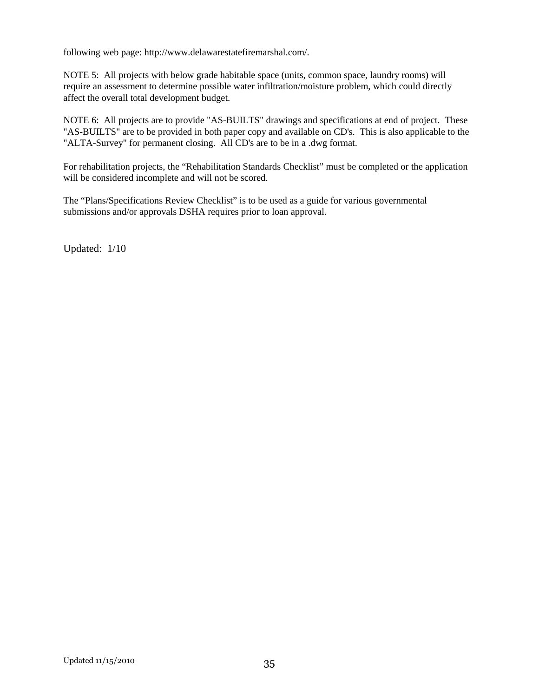following web page: http://www.delawarestatefiremarshal.com/.

NOTE 5: All projects with below grade habitable space (units, common space, laundry rooms) will require an assessment to determine possible water infiltration/moisture problem, which could directly affect the overall total development budget.

NOTE 6: All projects are to provide "AS-BUILTS" drawings and specifications at end of project. These "AS-BUILTS" are to be provided in both paper copy and available on CD's. This is also applicable to the "ALTA-Survey" for permanent closing. All CD's are to be in a .dwg format.

For rehabilitation projects, the "Rehabilitation Standards Checklist" must be completed or the application will be considered incomplete and will not be scored.

The "Plans/Specifications Review Checklist" is to be used as a guide for various governmental submissions and/or approvals DSHA requires prior to loan approval.

Updated: 1/10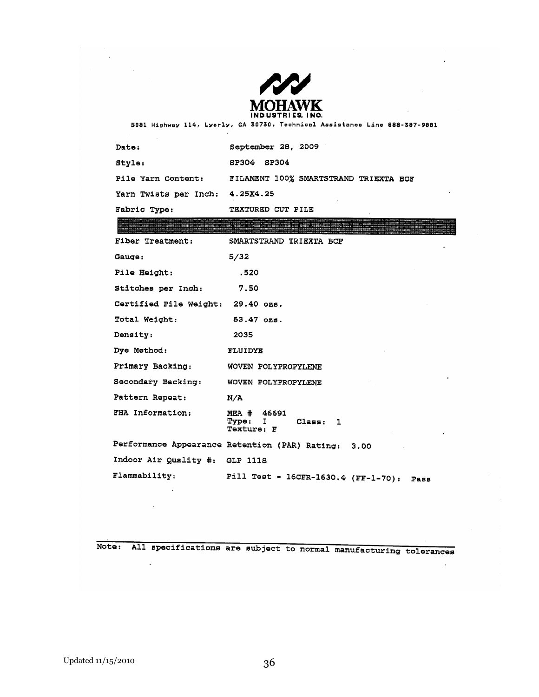

 $\sim$ 

 $\ddot{\phantom{a}}$ 

 $\epsilon$ 

 $\ddot{\phantom{a}}$ 

 $\ddot{\phantom{a}}$ 

 $\bar{z}$ 

 $\mathcal{L}^{\mathcal{L}}$ 

5081 Highway 114, Lyerly, GA 30730, Technical Assistance Line 888-387-9881

| Date:                           | September 28, 2009                                                                                                                                                                                                        |
|---------------------------------|---------------------------------------------------------------------------------------------------------------------------------------------------------------------------------------------------------------------------|
| Style:                          | SP304 SP304                                                                                                                                                                                                               |
| Pile Yarn Content:              | FILAMENT 100% SMARTSTRAND TRIEXTA BCF                                                                                                                                                                                     |
| Yarn Twists per Inch: 4.25X4.25 | ÷,                                                                                                                                                                                                                        |
| Fabric Type:                    | TEXTURED CUT PILE                                                                                                                                                                                                         |
|                                 | k su Bilbidi. Alikidi. <sub>Ali</sub> kodobos Modobil v s Elikola, videleno a Paletino "s. Calibe," "Konstitucione<br>антаратуру у калатуру продаван сумала менен калатуру маала калап катап калатуру башкан кала келишин |
| Fiber Treatment:                | SMARTSTRAND TRIEXTA BCF                                                                                                                                                                                                   |
|                                 |                                                                                                                                                                                                                           |
| Gauge:                          | 5/32                                                                                                                                                                                                                      |
| <b>Pile Height:</b>             | .520                                                                                                                                                                                                                      |
| Stitches per Inch:              | 7.50                                                                                                                                                                                                                      |

| Certified Pile Weight: 29.40 ozs. |                                                         |
|-----------------------------------|---------------------------------------------------------|
| Total Weight:                     | $63.47$ $025.$                                          |
| Density:                          | 2035                                                    |
| Dye Method:                       | <b>FLUIDYE</b>                                          |
| Primary Backing:                  | WOVEN POLYPROPYLENE                                     |
| Secondary Backing:                | WOVEN POLYPROPYLENE                                     |
| Pattern Repeat:                   | N/A                                                     |
| FHA Information:                  | MEA # 46691<br>Type: I<br>Class: 1<br><b>Texture: F</b> |
|                                   | Performance Appearance Retention (PAR) Rating:<br>3,00  |
| Indoor Air Quality #: GLP 1118    |                                                         |
| Flammability:                     | Pill Test - 16CFR-1630.4 (FF-1-70): Pass                |

Note: All specifications are subject to normal manufacturing tolerances

 $\mathcal{L}^{\text{max}}$  .

 $\sim 10^7$ 

 $\mathcal{A}^{\pm}$ 

 $\label{eq:2.1} \begin{split} \mathcal{F}^{(1)}_{\text{max}}(\mathbf{r}) = \mathcal{F}^{(1)}_{\text{max}}(\mathbf{r}) \end{split}$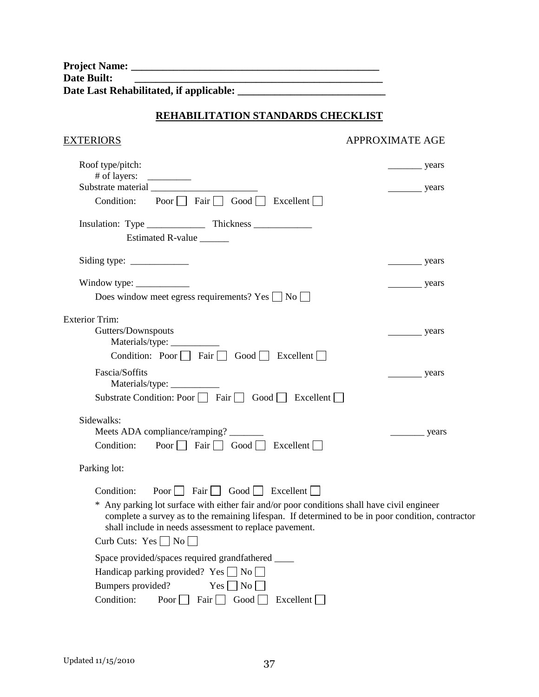| <b>Project Name:</b>                    |
|-----------------------------------------|
| Date Built:                             |
| Date Last Rehabilitated, if applicable: |

## **REHABILITATION STANDARDS CHECKLIST**

## EXTERIORS APPROXIMATE AGE

| Roof type/pitch:<br># of layers:<br>__________                                                                                                                                                                                                             | years                 |
|------------------------------------------------------------------------------------------------------------------------------------------------------------------------------------------------------------------------------------------------------------|-----------------------|
| Substrate material<br>Poor $\Box$ Fair $\Box$ Good $\Box$ Excellent $\Box$<br>Condition:                                                                                                                                                                   | years                 |
|                                                                                                                                                                                                                                                            |                       |
|                                                                                                                                                                                                                                                            |                       |
| Estimated R-value                                                                                                                                                                                                                                          |                       |
| Siding type: $\frac{\ }{\ }$                                                                                                                                                                                                                               | years                 |
| Window type: $\frac{\ }{\ }$                                                                                                                                                                                                                               | years                 |
| Does window meet egress requirements? Yes $\Box$ No $\Box$                                                                                                                                                                                                 |                       |
| <b>Exterior Trim:</b>                                                                                                                                                                                                                                      |                       |
| Gutters/Downspouts                                                                                                                                                                                                                                         | _years                |
|                                                                                                                                                                                                                                                            |                       |
| Condition: Poor $\Box$ Fair $\Box$ Good $\Box$ Excellent $\Box$                                                                                                                                                                                            |                       |
| Fascia/Soffits                                                                                                                                                                                                                                             | _years                |
| Substrate Condition: Poor $\Box$ Fair $\Box$ Good $\Box$ Excellent $\Box$                                                                                                                                                                                  |                       |
|                                                                                                                                                                                                                                                            |                       |
| Sidewalks:                                                                                                                                                                                                                                                 |                       |
| Meets ADA compliance/ramping?<br>Poor $\Box$ Fair $\Box$ Good $\Box$ Excellent $\Box$<br>Condition:                                                                                                                                                        | $\frac{\ }{\ }$ years |
|                                                                                                                                                                                                                                                            |                       |
| Parking lot:                                                                                                                                                                                                                                               |                       |
| Poor $\Box$ Fair $\Box$ Good $\Box$ Excellent $\Box$<br>Condition:                                                                                                                                                                                         |                       |
| * Any parking lot surface with either fair and/or poor conditions shall have civil engineer<br>complete a survey as to the remaining lifespan. If determined to be in poor condition, contractor<br>shall include in needs assessment to replace pavement. |                       |
| Curb Cuts: $Yes \Box No \Box$                                                                                                                                                                                                                              |                       |
| Space provided/spaces required grandfathered _____                                                                                                                                                                                                         |                       |
| Handicap parking provided? Yes $\Box$ No $\Box$                                                                                                                                                                                                            |                       |
| Bumpers provided?<br>$Yes \nightharpoonup No \nightharpoonup$                                                                                                                                                                                              |                       |
| Condition:<br>Poor $\Box$ Fair $\Box$ Good $\Box$ Excellent                                                                                                                                                                                                |                       |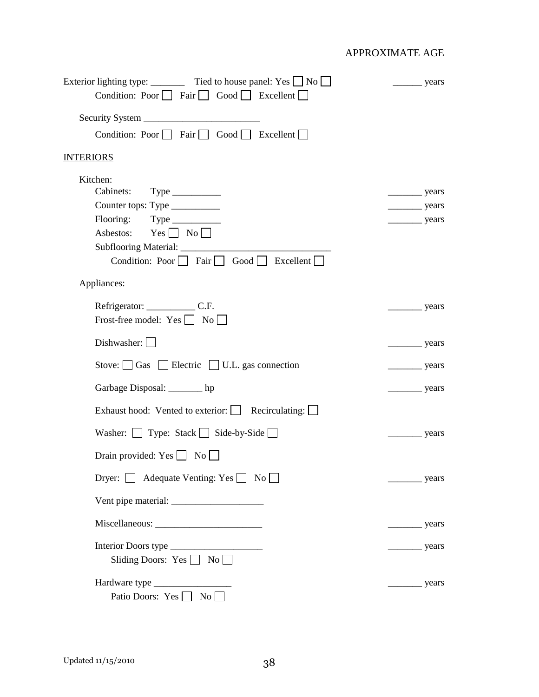| Exterior lighting type: _________ Tied to house panel: Yes $\Box$ No $\Box$ | years                      |
|-----------------------------------------------------------------------------|----------------------------|
| Condition: Poor $\Box$ Fair $\Box$ Good $\Box$ Excellent $\Box$             |                            |
|                                                                             |                            |
| Condition: Poor $\Box$ Fair $\Box$ Good $\Box$ Excellent $\Box$             |                            |
| <b>INTERIORS</b>                                                            |                            |
| Kitchen:                                                                    |                            |
|                                                                             | $\frac{1}{2}$ years        |
| Counter tops: Type ___________<br>Flooring: Type _________                  | $\frac{1}{2}$ years        |
| Asbestos: $Yes \Box No \Box$                                                | $\frac{1}{2}$ years        |
| Subflooring Material: _______________                                       |                            |
| Condition: Poor $\Box$ Fair $\Box$ Good $\Box$ Excellent $\Box$             |                            |
| Appliances:                                                                 |                            |
|                                                                             | years                      |
| Frost-free model: $Yes \bigsqcup No \bigsqcup$                              |                            |
| Dishwasher:                                                                 | years                      |
| Stove: $\Box$ Gas $\Box$ Electric $\Box$ U.L. gas connection                | $\frac{1}{2}$ years        |
| Garbage Disposal: _______ hp                                                | $\frac{1}{\sqrt{2}}$ years |
| Exhaust hood: Vented to exterior:   Recirculating:                          |                            |
| Washer: $\Box$ Type: Stack $\Box$ Side-by-Side $\Box$                       | $\frac{1}{\sqrt{2}}$ years |
| Drain provided: $Yes \Box No \Box$                                          |                            |
| Dryer: Adequate Venting: Yes No                                             | years                      |
|                                                                             |                            |
|                                                                             | $\frac{1}{\sqrt{2}}$ years |
|                                                                             | years                      |
| Sliding Doors: Yes $\Box$ No $\Box$                                         |                            |
|                                                                             |                            |
| Patio Doors: Yes No                                                         |                            |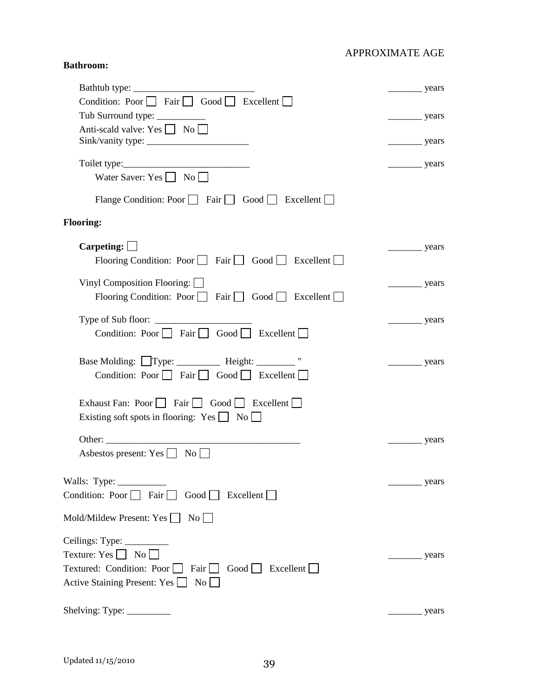## **Bathroom:**

| Bathtub type:                                                                                              | $\frac{\ }{\ }$ years      |
|------------------------------------------------------------------------------------------------------------|----------------------------|
| Condition: Poor $\Box$ Fair $\Box$ Good $\Box$ Excellent $\Box$                                            |                            |
| Tub Surround type: ___________                                                                             | $\frac{1}{2}$ years        |
| Anti-scald valve: Yes No                                                                                   |                            |
|                                                                                                            | $\frac{1}{2}$ years        |
|                                                                                                            | $\frac{1}{2}$ years        |
| Water Saver: Yes $\Box$ No $\Box$                                                                          |                            |
| Flange Condition: Poor $\Box$ Fair $\Box$ Good $\Box$ Excellent $\Box$                                     |                            |
| <b>Flooring:</b>                                                                                           |                            |
| Carpeting:                                                                                                 | years                      |
| Flooring Condition: Poor $\Box$ Fair $\Box$ Good $\Box$ Excellent $\Box$                                   |                            |
| Vinyl Composition Flooring: $\Box$                                                                         |                            |
| Flooring Condition: Poor $\Box$ Fair $\Box$ Good $\Box$ Excellent $\Box$                                   | $\frac{1}{\sqrt{2}}$ years |
|                                                                                                            |                            |
| Condition: Poor Fair Good Excellent                                                                        | $\frac{1}{\sqrt{2}}$ years |
| Base Molding: Type: __________ Height: ________ "                                                          | guers                      |
| Condition: Poor Fair Good Excellent                                                                        |                            |
| Exhaust Fan: Poor $\Box$ Fair $\Box$ Good $\Box$ Excellent $\Box$                                          |                            |
| Existing soft spots in flooring: $Yes \Box No \Box$                                                        |                            |
|                                                                                                            |                            |
| Other:                                                                                                     | years                      |
| Asbestos present: Yes $\Box$ No                                                                            |                            |
|                                                                                                            | years                      |
| Condition: Poor Fair Good Excellent                                                                        |                            |
| Mold/Mildew Present: Yes   No                                                                              |                            |
|                                                                                                            |                            |
|                                                                                                            |                            |
| Texture: Yes $\Box$ No $\Box$<br>Textured: Condition: Poor $\Box$ Fair $\Box$ Good $\Box$ Excellent $\Box$ | vears                      |
| Active Staining Present: Yes<br>$\rm{No}$                                                                  |                            |
|                                                                                                            |                            |
| Shelving: Type: $\frac{\ }{\ }$                                                                            | years                      |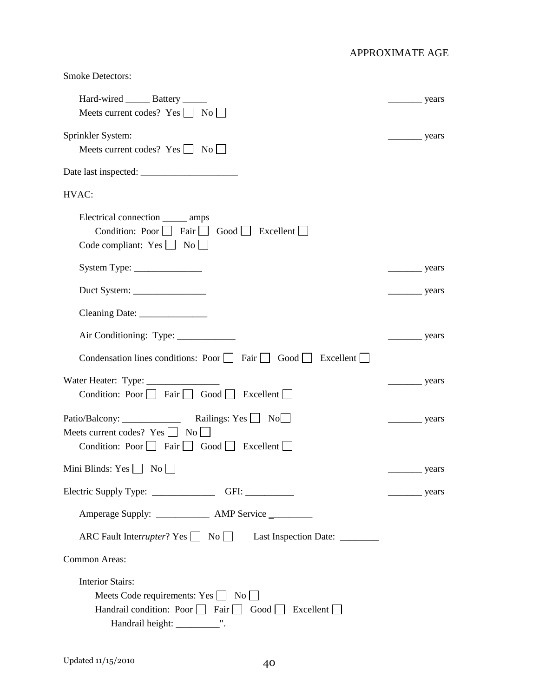| <b>Smoke Detectors:</b>                                                                                                                                                                                                                                                                                                                                                                                            |                       |
|--------------------------------------------------------------------------------------------------------------------------------------------------------------------------------------------------------------------------------------------------------------------------------------------------------------------------------------------------------------------------------------------------------------------|-----------------------|
| Hard-wired ________ Battery _______<br>Meets current codes? $Yes \Box No \Box$                                                                                                                                                                                                                                                                                                                                     |                       |
| Sprinkler System:<br>Meets current codes? Yes     No                                                                                                                                                                                                                                                                                                                                                               | $\frac{\ }{\ }$ years |
|                                                                                                                                                                                                                                                                                                                                                                                                                    |                       |
| HVAC:                                                                                                                                                                                                                                                                                                                                                                                                              |                       |
| Electrical connection _______ amps<br>Condition: Poor $\Box$ Fair $\Box$ Good $\Box$ Excellent $\Box$<br>Code compliant: $Yes \bigsqcup No \bigsqcup$                                                                                                                                                                                                                                                              |                       |
|                                                                                                                                                                                                                                                                                                                                                                                                                    | $\frac{\ }{\ }$ years |
| Duct System: $\frac{1}{\sqrt{1-\frac{1}{2}}}\frac{1}{\sqrt{1-\frac{1}{2}}}\frac{1}{\sqrt{1-\frac{1}{2}}}\frac{1}{\sqrt{1-\frac{1}{2}}}\frac{1}{\sqrt{1-\frac{1}{2}}}\frac{1}{\sqrt{1-\frac{1}{2}}}\frac{1}{\sqrt{1-\frac{1}{2}}}\frac{1}{\sqrt{1-\frac{1}{2}}}\frac{1}{\sqrt{1-\frac{1}{2}}}\frac{1}{\sqrt{1-\frac{1}{2}}}\frac{1}{\sqrt{1-\frac{1}{2}}}\frac{1}{\sqrt{1-\frac{1}{2}}}\frac{1}{\sqrt{1-\frac{1}{2$ | $\frac{1}{2}$ years   |
|                                                                                                                                                                                                                                                                                                                                                                                                                    |                       |
|                                                                                                                                                                                                                                                                                                                                                                                                                    | years                 |
| Condensation lines conditions: Poor Fair Good Excellent                                                                                                                                                                                                                                                                                                                                                            |                       |
| Condition: Poor   Fair   Good   Excellent                                                                                                                                                                                                                                                                                                                                                                          | $\frac{\ }{\ }$ years |
| Patio/Balcony: ______________ Railings: Yes No<br>Meets current codes? $Yes \mid \mid No \mid$<br>Condition: Poor Fair Good Excellent                                                                                                                                                                                                                                                                              | years                 |
| Mini Blinds: $Yes \t\t \t\t No \t\t$                                                                                                                                                                                                                                                                                                                                                                               |                       |
| Electric Supply Type: ____________________GFI: __________________________________                                                                                                                                                                                                                                                                                                                                  | $\frac{\ }{\ }$ years |
| Amperage Supply: ________________ AMP Service _________                                                                                                                                                                                                                                                                                                                                                            |                       |
| ARC Fault Interrupter? Yes No Last Inspection Date: ________                                                                                                                                                                                                                                                                                                                                                       |                       |
| Common Areas:                                                                                                                                                                                                                                                                                                                                                                                                      |                       |
| <b>Interior Stairs:</b><br>Meets Code requirements: $Yes \Box No \Box$<br>Handrail condition: Poor $\Box$ Fair $\Box$ Good $\Box$ Excellent $\Box$<br>Handrail height: _____________".                                                                                                                                                                                                                             |                       |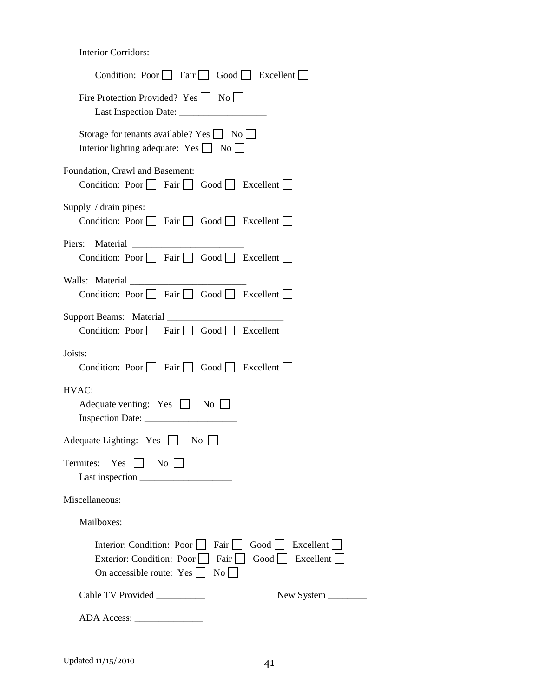Interior Corridors:

| Condition: Poor $\Box$ Fair $\Box$ Good $\Box$ Excellent $\Box$                                                                                                                           |
|-------------------------------------------------------------------------------------------------------------------------------------------------------------------------------------------|
| Fire Protection Provided? Yes $\Box$ No $\Box$                                                                                                                                            |
| Storage for tenants available? Yes $\Box$ No $\Box$<br>Interior lighting adequate: $Yes \bigsqcup No \bigsqcup$                                                                           |
| Foundation, Crawl and Basement:<br>Condition: Poor     Fair     Good     Excellent                                                                                                        |
| Supply / drain pipes:<br>Condition: Poor $\Box$ Fair $\Box$ Good $\Box$ Excellent $\Box$                                                                                                  |
| Condition: Poor $\Box$ Fair $\Box$ Good $\Box$ Excellent $\Box$                                                                                                                           |
| Walls: Material<br>Condition: Poor $\Box$ Fair $\Box$ Good $\Box$ Excellent $\Box$                                                                                                        |
| Condition: Poor $\Box$ Fair $\Box$ Good $\Box$ Excellent $\Box$                                                                                                                           |
| Joists:<br>Condition: Poor $\Box$ Fair $\Box$ Good $\Box$ Excellent $\Box$                                                                                                                |
| HVAC:<br>Adequate venting: Yes $\Box$ No $\Box$                                                                                                                                           |
| Adequate Lighting: Yes   No                                                                                                                                                               |
| Termites: Yes<br>$\overline{N_{0}}$                                                                                                                                                       |
| Miscellaneous:                                                                                                                                                                            |
|                                                                                                                                                                                           |
| Interior: Condition: Poor $\Box$ Fair $\Box$<br>Good<br>Excellent<br>Exterior: Condition: Poor<br>Fair    <br>Good     Excellent    <br>On accessible route: $Yes \mid \mid No \mid \mid$ |
| Cable TV Provided __________<br>New System _________                                                                                                                                      |
|                                                                                                                                                                                           |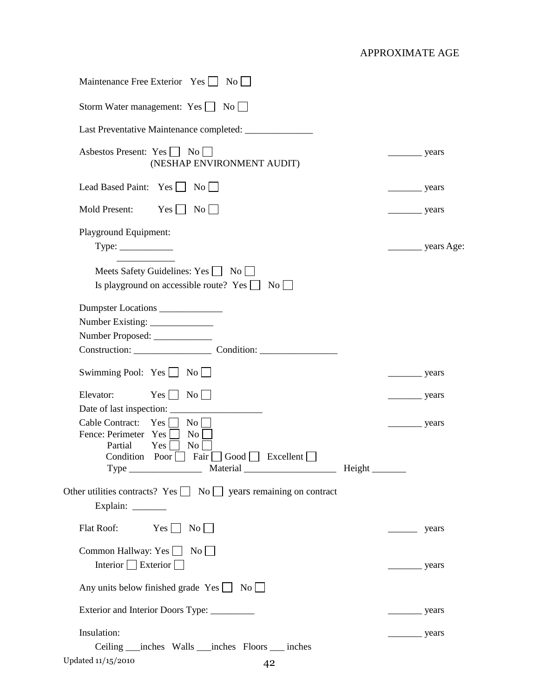| Maintenance Free Exterior Yes   No                                                                                                                                                                   |                                 |
|------------------------------------------------------------------------------------------------------------------------------------------------------------------------------------------------------|---------------------------------|
| Storm Water management: $Yes \tNo$                                                                                                                                                                   |                                 |
| Last Preventative Maintenance completed: ________________                                                                                                                                            |                                 |
| Asbestos Present: Yes     No  <br>(NESHAP ENVIRONMENT AUDIT)                                                                                                                                         | $\frac{\ }{\ }$ years           |
| Lead Based Paint: Yes     No                                                                                                                                                                         | $\frac{1}{2}$ years             |
| Mold Present:<br>$Yes$    <br>$\overline{\text{No}}$ $\Box$                                                                                                                                          | $\frac{1}{2}$ years             |
| Playground Equipment:                                                                                                                                                                                |                                 |
| Meets Safety Guidelines: Yes No<br>Is playground on accessible route? Yes $\Box$<br>$\overline{N_0}$                                                                                                 |                                 |
| Dumpster Locations ____________<br>Number Proposed: _____________                                                                                                                                    |                                 |
| Swimming Pool: $Yes \bigsqcup No \bigsqcup$                                                                                                                                                          | $\frac{1}{2}$ years             |
| $Yes \mid No \mid$<br>Elevator:                                                                                                                                                                      | $\frac{\ }{\ }$ years           |
| Cable Contract:<br>Yes  <br>$\overline{N_{0}}$<br>Fence: Perimeter Yes<br>$\overline{N_{0}}$<br>Partial<br>Yes  <br>$\overline{N_0}$<br>Fair Good Excellent<br>Condition Poor<br>Material<br>$Type_$ | Height $\overline{\phantom{a}}$ |
| Other utilities contracts? Yes $\Box$ No $\Box$ years remaining on contract<br>Explain: _________                                                                                                    |                                 |
| $Yes \quad No \quad$<br>Flat Roof:                                                                                                                                                                   | years                           |
| Common Hallway: Yes $\Box$ No $\Box$<br>Interior $\Box$ Exterior $\Box$                                                                                                                              | $\frac{\ }{\ }$ years           |
| Any units below finished grade $Yes \Box No \Box$                                                                                                                                                    |                                 |
| Exterior and Interior Doors Type: _________                                                                                                                                                          | $\frac{\ }{\ }$ years           |
| Insulation:<br>Ceiling ____ inches Walls ____ inches Floors _____ inches                                                                                                                             | years                           |
| Updated 11/15/2010<br>42                                                                                                                                                                             |                                 |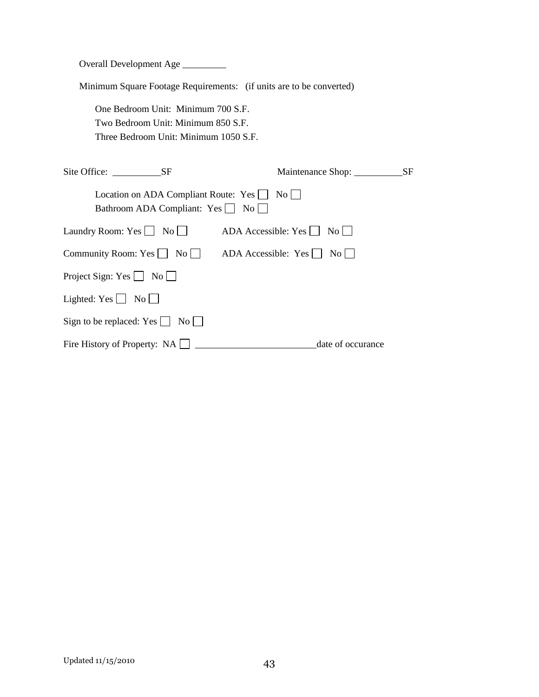Overall Development Age \_\_\_\_\_\_\_\_\_

Minimum Square Footage Requirements: (if units are to be converted)

 One Bedroom Unit: Minimum 700 S.F. Two Bedroom Unit: Minimum 850 S.F. Three Bedroom Unit: Minimum 1050 S.F.

| Site Office: SF                                                                 | Maintenance Shop:                            | <b>SF</b> |
|---------------------------------------------------------------------------------|----------------------------------------------|-----------|
| Location on ADA Compliant Route: Yes     No<br>Bathroom ADA Compliant: Yes   No |                                              |           |
| Laundry Room: $Yes \cup No \cup$                                                | $ADA$ Accessible: Yes $\Box$<br>No           |           |
| Community Room: Yes $\Box$ No $\Box$                                            | ADA Accessible: $Yes \mid \mid No \mid \mid$ |           |
| Project Sign: Yes $\Box$ No $\Box$                                              |                                              |           |
| Lighted: $Yes \mid \mid No \mid \mid$                                           |                                              |           |
| Sign to be replaced: Yes $\Box$ No $\Box$                                       |                                              |           |
| Fire History of Property: NA                                                    | date of occurance                            |           |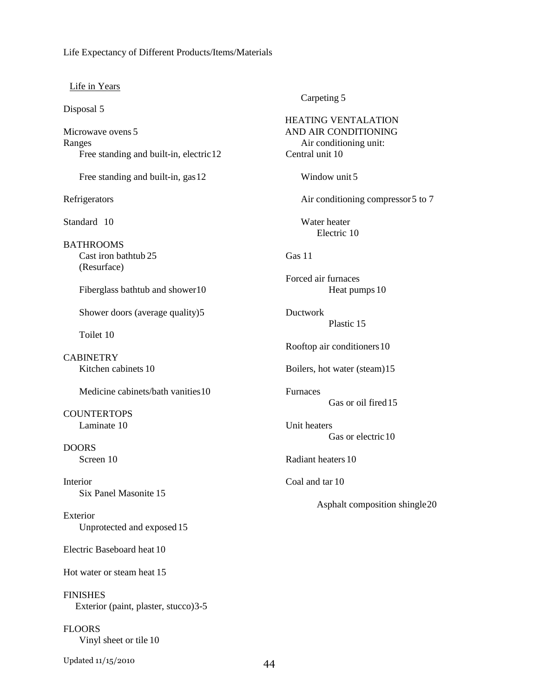#### Life Expectancy of Different Products/Items/Materials

#### Life in Years

Disposal 5

Microwave ovens 5 Ranges Free standing and built-in, electric 12

Free standing and built-in, gas 12

Refrigerators

Standard 10

**BATHROOMS**  Cast iron bathtub 25 (Resurface)

Fiberglass bathtub and shower 10

Shower doors (average quality) 5

Toilet 10

**CABINETRY** Kitchen cabinets 10

Medicine cabinets/bath vanities 10

**COUNTERTOPS** Laminate 10

DOORS Screen 10

Interior Six Panel Masonite 15

Exterior Unprotected and exposed 15

Electric Baseboard heat 10

Hot water or steam heat 15

FINISHES Exterior (paint, plaster, stucco) 3-5

**FLOORS** Vinyl sheet or tile 10

Updated 11/15/2010 44

Carpeting 5

HEATING VENTALATION AND AIR CONDITIONING Air conditioning unit: Central unit 10 Window unit 5 Air conditioning compressor 5 to 7 Water heater Electric 10 Gas 11 Forced air furnaces Heat pumps 10 Ductwork Plastic 15 Rooftop air conditioners 10 Boilers, hot water (steam) 15 Furnaces Gas or oil fired 15 Unit heaters Gas or electric 10 Radiant heaters 10 Coal and tar 10 Asphalt composition shingle 20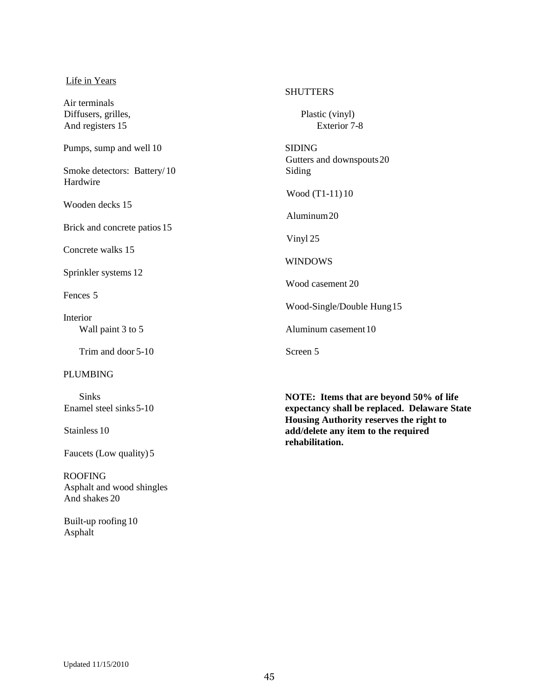#### Life in Years

Air terminals Diffusers, grilles, And registers 15

Pumps, sump and well 10

Smoke detectors: Battery/ 10 Hardwire

Wooden decks 15

Brick and concrete patios 15

Concrete walks 15

Sprinkler systems 12

Fences 5

Interior Wall paint 3 to 5

Trim and door 5-10

#### PLUMBING

 Sinks Enamel steel sinks 5-10

Stainless 10

Faucets (Low quality) 5

ROOFING Asphalt and wood shingles And shakes 20

 Built-up roofing 10 Asphalt

#### **SHUTTERS**

 Plastic (vinyl) Exterior 7-8

SIDING Gutters and downspouts 20 Siding

Wood (T1-11) 10

Aluminum 20

Vinyl 25

WINDOWS

Wood casement 20

Wood-Single/Double Hung 15

Aluminum casement 10

Screen 5

**NOTE: Items that are beyond 50% of life expectancy shall be replaced. Delaware State Housing Authority reserves the right to add/delete any item to the required rehabilitation.**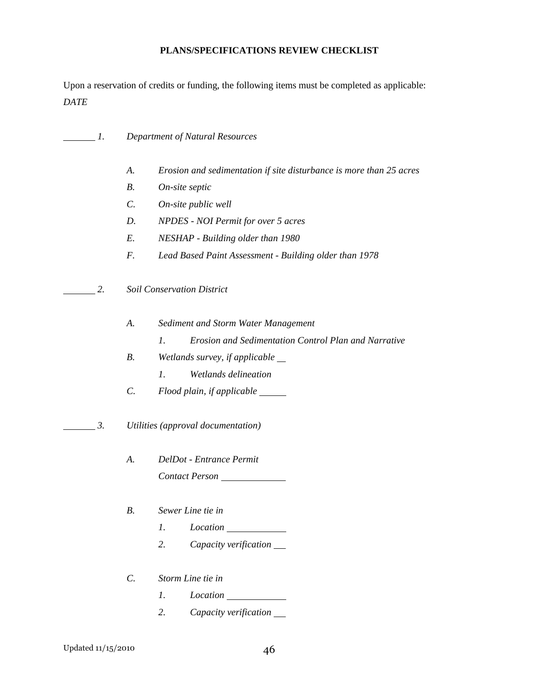## **PLANS/SPECIFICATIONS REVIEW CHECKLIST**

Upon a reservation of credits or funding, the following items must be completed as applicable: *DATE* 

| 1.        |                 | <b>Department of Natural Resources</b>                                  |  |  |
|-----------|-----------------|-------------------------------------------------------------------------|--|--|
|           | A.              | Erosion and sedimentation if site disturbance is more than 25 acres     |  |  |
|           | В.              | On-site septic                                                          |  |  |
|           | $\mathcal{C}$ . | On-site public well                                                     |  |  |
|           | D.              | <b>NPDES</b> - NOI Permit for over 5 acres                              |  |  |
|           | E.              | NESHAP - Building older than 1980                                       |  |  |
|           | $F_{\cdot}$     | Lead Based Paint Assessment - Building older than 1978                  |  |  |
| 2.        |                 | <b>Soil Conservation District</b>                                       |  |  |
|           | A.              | Sediment and Storm Water Management                                     |  |  |
| <b>B.</b> |                 | $\mathfrak{1}.$<br>Erosion and Sedimentation Control Plan and Narrative |  |  |
|           |                 | Wetlands survey, if applicable _                                        |  |  |
|           |                 | Wetlands delineation<br>I.                                              |  |  |
|           | $\mathcal{C}$ . | Flood plain, if applicable ______                                       |  |  |
| 3.        |                 | Utilities (approval documentation)                                      |  |  |
|           | A.              | DelDot - Entrance Permit                                                |  |  |
|           |                 | Contact Person                                                          |  |  |
|           | В.              | Sewer Line tie in                                                       |  |  |
|           |                 | 1.<br><i>Location</i>                                                   |  |  |
|           |                 | 2.<br>Capacity verification __                                          |  |  |
|           | $C$ .           | Storm Line tie in                                                       |  |  |
|           |                 | 1.<br>Location                                                          |  |  |

 *2. Capacity verification*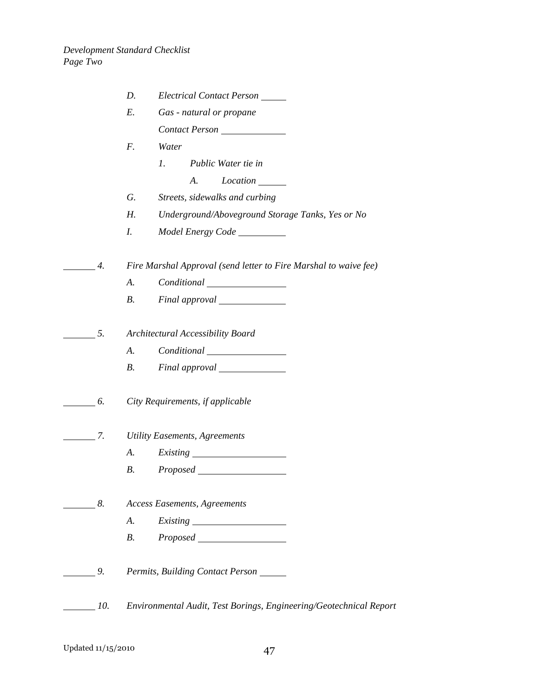|                  |                | Electrical Contact Person<br>D.                                    |
|------------------|----------------|--------------------------------------------------------------------|
|                  |                | Gas - natural or propane<br>Е.                                     |
|                  |                | Contact Person                                                     |
|                  |                | Water<br>F.                                                        |
|                  |                | 1.<br>Public Water tie in                                          |
|                  |                | Location ______<br>А.                                              |
|                  |                | Streets, sidewalks and curbing<br>G.                               |
|                  |                | Underground/Aboveground Storage Tanks, Yes or No<br>Н.             |
|                  |                | I.                                                                 |
|                  | 4.             | Fire Marshal Approval (send letter to Fire Marshal to waive fee)   |
|                  |                | A.                                                                 |
|                  |                | <i>B</i> .<br>Final approval                                       |
|                  |                |                                                                    |
| 5.               |                | Architectural Accessibility Board                                  |
|                  |                | A.                                                                 |
|                  |                | $B_{\cdot}$                                                        |
| $\overline{6}$ . |                | City Requirements, if applicable                                   |
|                  | 7.             | <b>Utility Easements, Agreements</b>                               |
|                  |                | A.<br><i>Existing</i><br><u> 1980 - Johann Barbara, martin a</u>   |
|                  |                | <i>Proposed</i><br><b>B.</b>                                       |
| $\sim$ 8.        |                | <b>Access Easements, Agreements</b>                                |
|                  |                | A.                                                                 |
|                  |                | B.                                                                 |
|                  | 9 <sub>l</sub> | Permits, Building Contact Person                                   |
|                  | 10.            | Environmental Audit, Test Borings, Engineering/Geotechnical Report |
|                  |                |                                                                    |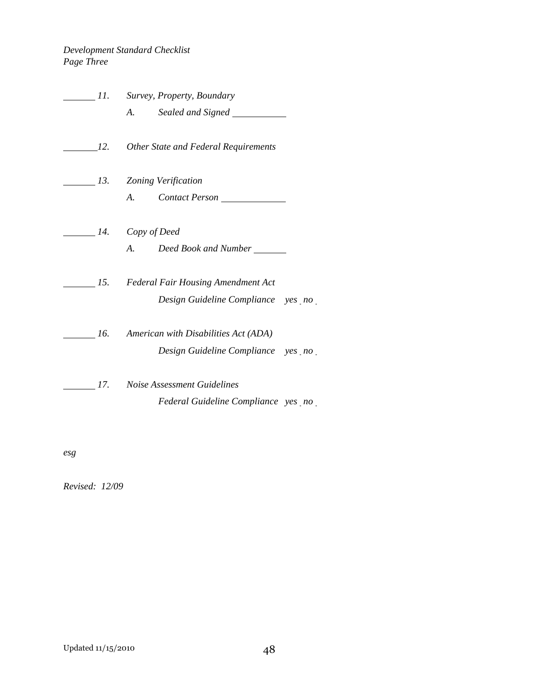## *Development Standard Checklist Page Three*

|                              | 11. Survey, Property, Boundary                         |  |
|------------------------------|--------------------------------------------------------|--|
|                              |                                                        |  |
|                              | 12. Other State and Federal Requirements               |  |
| 13. Zoning Verification      |                                                        |  |
|                              | A. Contact Person                                      |  |
| $\frac{1}{4}$ . Copy of Deed |                                                        |  |
|                              | A. Deed Book and Number                                |  |
|                              | 15. Federal Fair Housing Amendment Act                 |  |
|                              | Design Guideline Compliance yes no                     |  |
|                              | $\frac{1}{6}$ 16. American with Disabilities Act (ADA) |  |
|                              | Design Guideline Compliance yes no                     |  |
| 17.                          | Noise Assessment Guidelines                            |  |
|                              | Federal Guideline Compliance yes no                    |  |

*esg* 

*Revised: 12/09*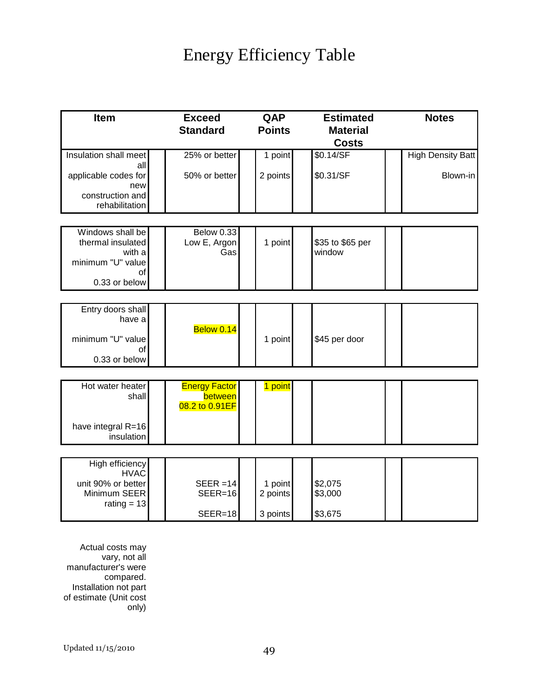# Energy Efficiency Table

| Item                                                                 | <b>Exceed</b><br><b>Standard</b>                  | QAP<br><b>Points</b> | <b>Estimated</b><br><b>Material</b><br><b>Costs</b> | <b>Notes</b>             |
|----------------------------------------------------------------------|---------------------------------------------------|----------------------|-----------------------------------------------------|--------------------------|
| Insulation shall meet<br>all                                         | 25% or better                                     | 1 point              | \$0.14/SF                                           | <b>High Density Batt</b> |
| applicable codes for<br>new<br>construction and<br>rehabilitation    | 50% or better                                     | 2 points             | \$0.31/SF                                           | Blown-in                 |
| Windows shall be                                                     | Below 0.33                                        |                      |                                                     |                          |
| thermal insulated<br>with a<br>minimum "U" value<br>of               | Low E, Argon<br>Gas                               | 1 point              | \$35 to \$65 per<br>window                          |                          |
| 0.33 or below                                                        |                                                   |                      |                                                     |                          |
|                                                                      |                                                   |                      |                                                     |                          |
| Entry doors shall<br>have a                                          | Below 0.14                                        |                      |                                                     |                          |
| minimum "U" value<br>οf                                              |                                                   | 1 point              | \$45 per door                                       |                          |
| 0.33 or below                                                        |                                                   |                      |                                                     |                          |
| Hot water heater<br>shall                                            | <b>Energy Factor</b><br>between<br>08.2 to 0.91EF | 1 point              |                                                     |                          |
| have integral R=16<br>insulation                                     |                                                   |                      |                                                     |                          |
|                                                                      |                                                   |                      |                                                     |                          |
| High efficiency<br><b>HVAC</b><br>unit 90% or better<br>Minimum SEER | $SEER = 14$<br>$SEER=16$                          | 1 point<br>2 points  | \$2,075<br>\$3,000                                  |                          |
| rating $= 13$                                                        | $SEER=18$                                         | 3 points             | \$3,675                                             |                          |

Actual costs may vary, not all manufacturer's were compared. Installation not part of estimate (Unit cost only)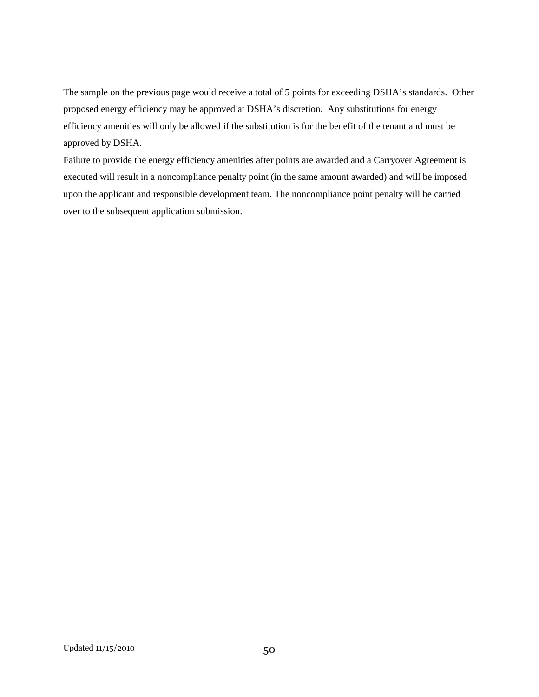The sample on the previous page would receive a total of 5 points for exceeding DSHA's standards. Other proposed energy efficiency may be approved at DSHA's discretion. Any substitutions for energy efficiency amenities will only be allowed if the substitution is for the benefit of the tenant and must be approved by DSHA.

Failure to provide the energy efficiency amenities after points are awarded and a Carryover Agreement is executed will result in a noncompliance penalty point (in the same amount awarded) and will be imposed upon the applicant and responsible development team. The noncompliance point penalty will be carried over to the subsequent application submission.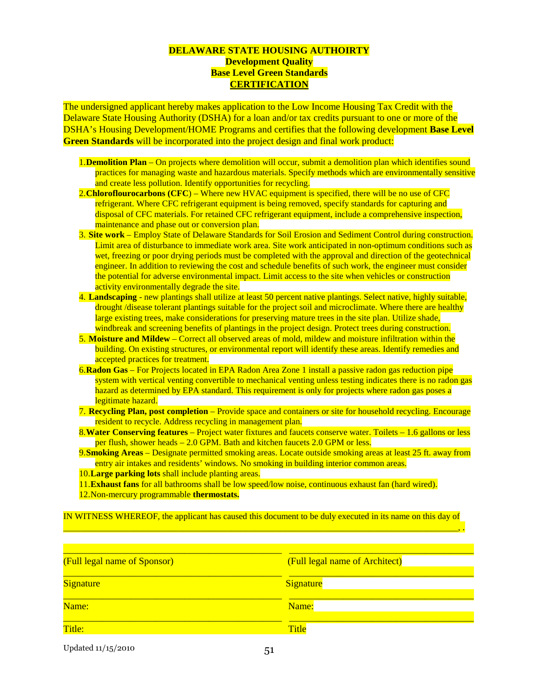#### **DELAWARE STATE HOUSING AUTHOIRTY Development Quality Base Level Green Standards CERTIFICATION**

The undersigned applicant hereby makes application to the Low Income Housing Tax Credit with the Delaware State Housing Authority (DSHA) for a loan and/or tax credits pursuant to one or more of the DSHA's Housing Development/HOME Programs and certifies that the following development **Base Level Green Standards** will be incorporated into the project design and final work product:

- 1.**Demolition Plan** On projects where demolition will occur, submit a demolition plan which identifies sound practices for managing waste and hazardous materials. Specify methods which are environmentally sensitive and create less pollution. Identify opportunities for recycling.
- 2.**Chloroflourocarbons (CFC**) Where new HVAC equipment is specified, there will be no use of CFC refrigerant. Where CFC refrigerant equipment is being removed, specify standards for capturing and disposal of CFC materials. For retained CFC refrigerant equipment, include a comprehensive inspection, maintenance and phase out or conversion plan.
- 3. **Site work** Employ State of Delaware Standards for Soil Erosion and Sediment Control during construction. Limit area of disturbance to immediate work area. Site work anticipated in non-optimum conditions such as wet, freezing or poor drying periods must be completed with the approval and direction of the geotechnical engineer. In addition to reviewing the cost and schedule benefits of such work, the engineer must consider the potential for adverse environmental impact. Limit access to the site when vehicles or construction activity environmentally degrade the site.
- 4. **Landscaping** new plantings shall utilize at least 50 percent native plantings. Select native, highly suitable, drought /disease tolerant plantings suitable for the project soil and microclimate. Where there are healthy large existing trees, make considerations for preserving mature trees in the site plan. Utilize shade, windbreak and screening benefits of plantings in the project design. Protect trees during construction.
- 5. **Moisture and Mildew** Correct all observed areas of mold, mildew and moisture infiltration within the building. On existing structures, or environmental report will identify these areas. Identify remedies and accepted practices for treatment.
- 6. **Radon Gas** For Projects located in EPA Radon Area Zone 1 install a passive radon gas reduction pipe system with vertical venting convertible to mechanical venting unless testing indicates there is no radon gas hazard as determined by EPA standard. This requirement is only for projects where radon gas poses a legitimate hazard.
- 7. **Recycling Plan, post completion** Provide space and containers or site for household recycling. Encourage resident to recycle. Address recycling in management plan.
- 8. **Water Conserving features** Project water fixtures and faucets conserve water. Toilets 1.6 gallons or less per flush, shower heads – 2.0 GPM. Bath and kitchen faucets 2.0 GPM or less.
- 9. **Smoking Areas** Designate permitted smoking areas. Locate outside smoking areas at least 25 ft. away from entry air intakes and residents' windows. No smoking in building interior common areas.
- 10. **Large parking lots** shall include planting areas.
- 11. **Exhaust fans** for all bathrooms shall be low speed/low noise, continuous exhaust fan (hard wired).
- 12. Non-mercury programmable **thermostats.**

IN WITNESS WHEREOF, the applicant has caused this document to be duly executed in its name on this day of \_\_\_\_\_\_\_\_\_\_\_\_\_\_\_\_\_\_\_\_\_\_\_\_\_\_\_\_\_\_\_\_\_\_\_\_\_\_\_\_\_\_\_\_\_\_\_\_\_\_\_\_\_\_\_\_\_\_\_\_\_\_\_\_\_\_\_\_\_\_\_\_\_\_\_\_\_\_\_\_\_\_\_\_\_\_\_\_\_, .

| (Full legal name of Sponsor) | (Full legal name of Architect) |  |  |  |  |
|------------------------------|--------------------------------|--|--|--|--|
| <b>Signature</b>             | Signature                      |  |  |  |  |
| Name:                        | Name:                          |  |  |  |  |
| Title:                       | <b>Title</b>                   |  |  |  |  |

Updated  $11/15/2010$  51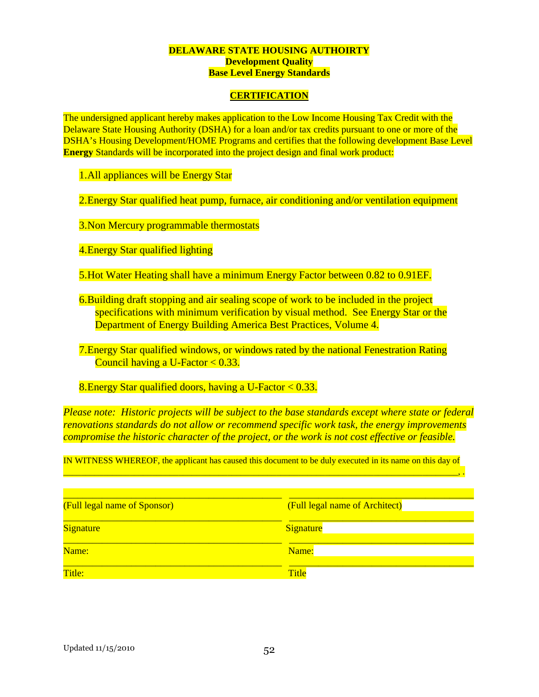#### **DELAWARE STATE HOUSING AUTHOIRTY Development Quality Base Level Energy Standards**

### **CERTIFICATION**

The undersigned applicant hereby makes application to the Low Income Housing Tax Credit with the Delaware State Housing Authority (DSHA) for a loan and/or tax credits pursuant to one or more of the DSHA's Housing Development/HOME Programs and certifies that the following development Base Level **Energy** Standards will be incorporated into the project design and final work product:

1.All appliances will be Energy Star

2.Energy Star qualified heat pump, furnace, air conditioning and/or ventilation equipment

3.Non Mercury programmable thermostats

4.Energy Star qualified lighting

5.Hot Water Heating shall have a minimum Energy Factor between 0.82 to 0.91EF.

6.Building draft stopping and air sealing scope of work to be included in the project specifications with minimum verification by visual method. See Energy Star or the Department of Energy Building America Best Practices, Volume 4.

7.Energy Star qualified windows, or windows rated by the national Fenestration Rating Council having a U-Factor < 0.33.

8.Energy Star qualified doors, having a U-Factor < 0.33.

*Please note: Historic projects will be subject to the base standards except where state or federal renovations standards do not allow or recommend specific work task, the energy improvements compromise the historic character of the project, or the work is not cost effective or feasible.* 

IN WITNESS WHEREOF, the applicant has caused this document to be duly executed in its name on this day of \_\_\_\_\_\_\_\_\_\_\_\_\_\_\_\_\_\_\_\_\_\_\_\_\_\_\_\_\_\_\_\_\_\_\_\_\_\_\_\_\_\_\_\_\_\_\_\_\_\_\_\_\_\_\_\_\_\_\_\_\_\_\_\_\_\_\_\_\_\_\_\_\_\_\_\_\_\_\_\_\_\_\_\_\_\_\_\_\_, .

| (Full legal name of Sponsor) | (Full legal name of Architect) |
|------------------------------|--------------------------------|
| <b>Signature</b>             | Signature                      |
| Name:                        | Name:                          |
| Title:                       | <b>Title</b>                   |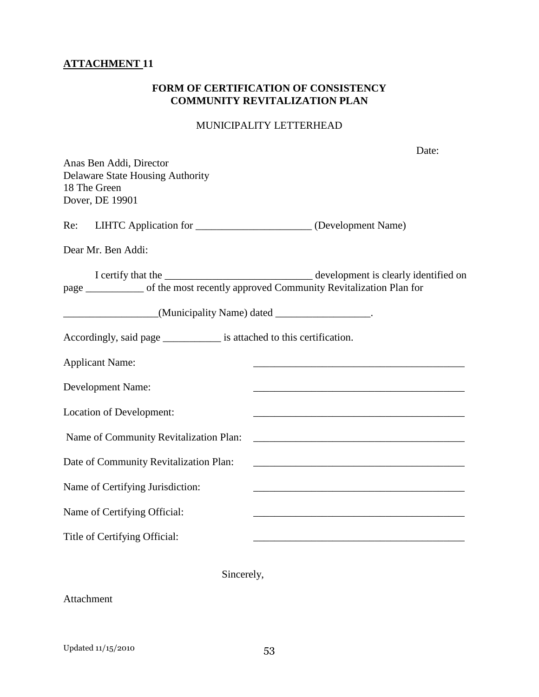## **ATTACHMENT 11**

## **FORM OF CERTIFICATION OF CONSISTENCY COMMUNITY REVITALIZATION PLAN**

## MUNICIPALITY LETTERHEAD

| Anas Ben Addi, Director<br><b>Delaware State Housing Authority</b><br>18 The Green<br>Dover, DE 19901                                                                                                                       | Date:                                                                                                                |
|-----------------------------------------------------------------------------------------------------------------------------------------------------------------------------------------------------------------------------|----------------------------------------------------------------------------------------------------------------------|
| Re:<br>LIHTC Application for ________________________ (Development Name)                                                                                                                                                    |                                                                                                                      |
| Dear Mr. Ben Addi:                                                                                                                                                                                                          |                                                                                                                      |
| I certify that the <u>contract and a set of the development</u> is clearly identified on<br>page ___________ of the most recently approved Community Revitalization Plan for<br>(Municipality Name) dated ________________. |                                                                                                                      |
| Accordingly, said page _____________ is attached to this certification.                                                                                                                                                     |                                                                                                                      |
| <b>Applicant Name:</b>                                                                                                                                                                                                      |                                                                                                                      |
| <b>Development Name:</b>                                                                                                                                                                                                    |                                                                                                                      |
| Location of Development:                                                                                                                                                                                                    | <u> 1989 - Johann John Stone, mars and de final and de final and de final and de final and de final and de final</u> |
| Name of Community Revitalization Plan:                                                                                                                                                                                      |                                                                                                                      |
| Date of Community Revitalization Plan:                                                                                                                                                                                      |                                                                                                                      |
| Name of Certifying Jurisdiction:                                                                                                                                                                                            | <u> 1989 - Johann Barn, amerikansk politiker (d. 1989)</u>                                                           |
| Name of Certifying Official:                                                                                                                                                                                                |                                                                                                                      |
| Title of Certifying Official:                                                                                                                                                                                               |                                                                                                                      |
| Sincerely,                                                                                                                                                                                                                  |                                                                                                                      |

Attachment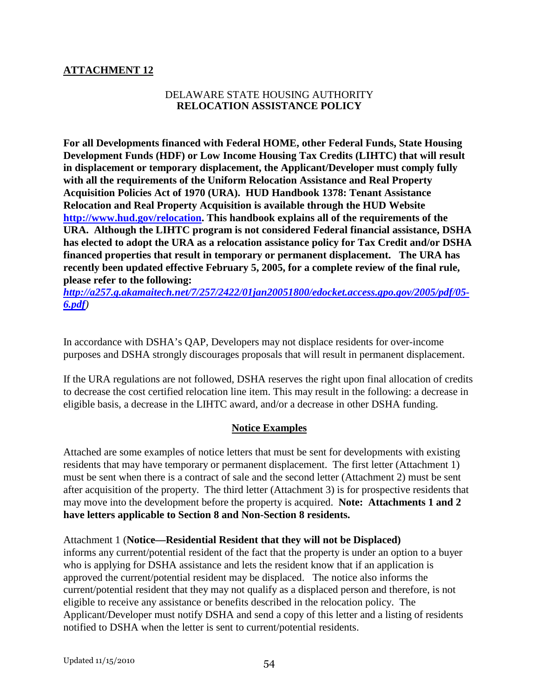## **ATTACHMENT 12**

## DELAWARE STATE HOUSING AUTHORITY **RELOCATION ASSISTANCE POLICY**

**For all Developments financed with Federal HOME, other Federal Funds, State Housing Development Funds (HDF) or Low Income Housing Tax Credits (LIHTC) that will result in displacement or temporary displacement, the Applicant/Developer must comply fully with all the requirements of the Uniform Relocation Assistance and Real Property Acquisition Policies Act of 1970 (URA). HUD Handbook 1378: Tenant Assistance Relocation and Real Property Acquisition is available through the HUD Website http://www.hud.gov/relocation. This handbook explains all of the requirements of the URA. Although the LIHTC program is not considered Federal financial assistance, DSHA has elected to adopt the URA as a relocation assistance policy for Tax Credit and/or DSHA financed properties that result in temporary or permanent displacement. The URA has recently been updated effective February 5, 2005, for a complete review of the final rule, please refer to the following:** 

*http://a257.g.akamaitech.net/7/257/2422/01jan20051800/edocket.access.gpo.gov/2005/pdf/05- 6.pdf)* 

In accordance with DSHA's QAP, Developers may not displace residents for over-income purposes and DSHA strongly discourages proposals that will result in permanent displacement.

If the URA regulations are not followed, DSHA reserves the right upon final allocation of credits to decrease the cost certified relocation line item. This may result in the following: a decrease in eligible basis, a decrease in the LIHTC award, and/or a decrease in other DSHA funding.

## **Notice Examples**

Attached are some examples of notice letters that must be sent for developments with existing residents that may have temporary or permanent displacement. The first letter (Attachment 1) must be sent when there is a contract of sale and the second letter (Attachment 2) must be sent after acquisition of the property. The third letter (Attachment 3) is for prospective residents that may move into the development before the property is acquired. **Note: Attachments 1 and 2 have letters applicable to Section 8 and Non-Section 8 residents.** 

Attachment 1 (**Notice—Residential Resident that they will not be Displaced)** informs any current/potential resident of the fact that the property is under an option to a buyer who is applying for DSHA assistance and lets the resident know that if an application is approved the current/potential resident may be displaced. The notice also informs the current/potential resident that they may not qualify as a displaced person and therefore, is not eligible to receive any assistance or benefits described in the relocation policy. The Applicant/Developer must notify DSHA and send a copy of this letter and a listing of residents notified to DSHA when the letter is sent to current/potential residents.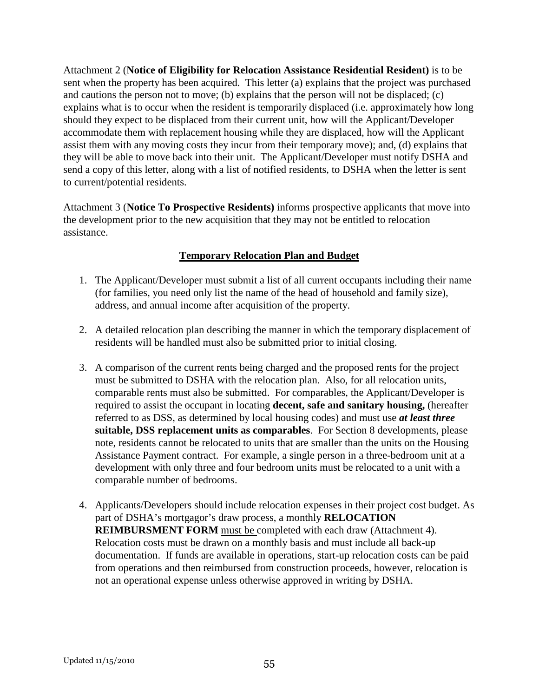Attachment 2 (**Notice of Eligibility for Relocation Assistance Residential Resident)** is to be sent when the property has been acquired. This letter (a) explains that the project was purchased and cautions the person not to move; (b) explains that the person will not be displaced; (c) explains what is to occur when the resident is temporarily displaced (i.e. approximately how long should they expect to be displaced from their current unit, how will the Applicant/Developer accommodate them with replacement housing while they are displaced, how will the Applicant assist them with any moving costs they incur from their temporary move); and, (d) explains that they will be able to move back into their unit. The Applicant/Developer must notify DSHA and send a copy of this letter, along with a list of notified residents, to DSHA when the letter is sent to current/potential residents.

Attachment 3 (**Notice To Prospective Residents)** informs prospective applicants that move into the development prior to the new acquisition that they may not be entitled to relocation assistance.

## **Temporary Relocation Plan and Budget**

- 1. The Applicant/Developer must submit a list of all current occupants including their name (for families, you need only list the name of the head of household and family size), address, and annual income after acquisition of the property.
- 2. A detailed relocation plan describing the manner in which the temporary displacement of residents will be handled must also be submitted prior to initial closing.
- 3. A comparison of the current rents being charged and the proposed rents for the project must be submitted to DSHA with the relocation plan. Also, for all relocation units, comparable rents must also be submitted. For comparables, the Applicant/Developer is required to assist the occupant in locating **decent, safe and sanitary housing,** (hereafter referred to as DSS, as determined by local housing codes) and must use *at least three*  **suitable, DSS replacement units as comparables**. For Section 8 developments, please note, residents cannot be relocated to units that are smaller than the units on the Housing Assistance Payment contract. For example, a single person in a three-bedroom unit at a development with only three and four bedroom units must be relocated to a unit with a comparable number of bedrooms.
- 4. Applicants/Developers should include relocation expenses in their project cost budget. As part of DSHA's mortgagor's draw process, a monthly **RELOCATION REIMBURSMENT FORM** must be completed with each draw (Attachment 4). Relocation costs must be drawn on a monthly basis and must include all back-up documentation. If funds are available in operations, start-up relocation costs can be paid from operations and then reimbursed from construction proceeds, however, relocation is not an operational expense unless otherwise approved in writing by DSHA.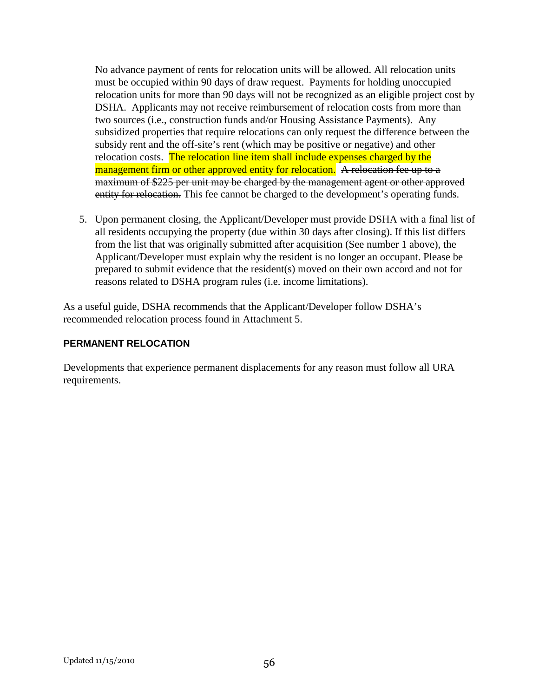No advance payment of rents for relocation units will be allowed. All relocation units must be occupied within 90 days of draw request. Payments for holding unoccupied relocation units for more than 90 days will not be recognized as an eligible project cost by DSHA. Applicants may not receive reimbursement of relocation costs from more than two sources (i.e., construction funds and/or Housing Assistance Payments). Any subsidized properties that require relocations can only request the difference between the subsidy rent and the off-site's rent (which may be positive or negative) and other relocation costs. The relocation line item shall include expenses charged by the management firm or other approved entity for relocation. A relocation fee up to a maximum of \$225 per unit may be charged by the management agent or other approved entity for relocation. This fee cannot be charged to the development's operating funds.

5. Upon permanent closing, the Applicant/Developer must provide DSHA with a final list of all residents occupying the property (due within 30 days after closing). If this list differs from the list that was originally submitted after acquisition (See number 1 above), the Applicant/Developer must explain why the resident is no longer an occupant. Please be prepared to submit evidence that the resident(s) moved on their own accord and not for reasons related to DSHA program rules (i.e. income limitations).

As a useful guide, DSHA recommends that the Applicant/Developer follow DSHA's recommended relocation process found in Attachment 5.

## **PERMANENT RELOCATION**

Developments that experience permanent displacements for any reason must follow all URA requirements.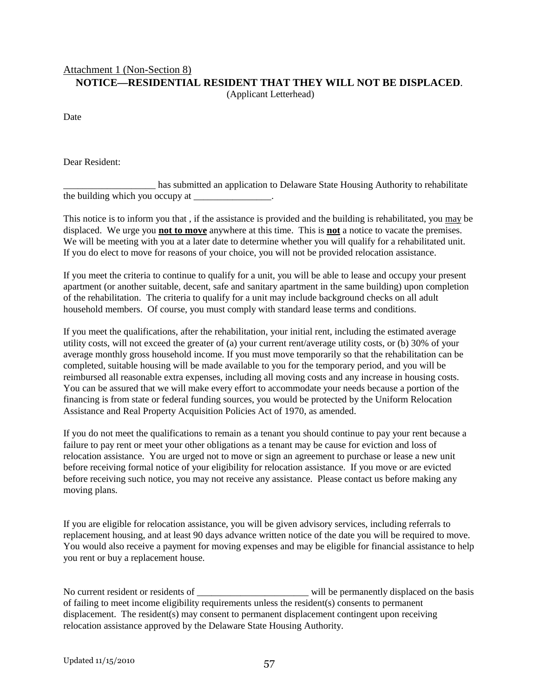## Attachment 1 (Non-Section 8) **NOTICE—RESIDENTIAL RESIDENT THAT THEY WILL NOT BE DISPLACED**.

(Applicant Letterhead)

Date

Dear Resident:

\_\_\_\_\_\_\_\_\_\_\_\_\_\_\_\_\_\_\_ has submitted an application to Delaware State Housing Authority to rehabilitate  $\frac{1}{2}$  the building which you occupy at \_\_\_\_\_\_\_\_\_\_\_\_\_\_.

This notice is to inform you that , if the assistance is provided and the building is rehabilitated, you may be displaced. We urge you **not to move** anywhere at this time. This is **not** a notice to vacate the premises. We will be meeting with you at a later date to determine whether you will qualify for a rehabilitated unit. If you do elect to move for reasons of your choice, you will not be provided relocation assistance.

If you meet the criteria to continue to qualify for a unit, you will be able to lease and occupy your present apartment (or another suitable, decent, safe and sanitary apartment in the same building) upon completion of the rehabilitation. The criteria to qualify for a unit may include background checks on all adult household members. Of course, you must comply with standard lease terms and conditions.

If you meet the qualifications, after the rehabilitation, your initial rent, including the estimated average utility costs, will not exceed the greater of (a) your current rent/average utility costs, or (b) 30% of your average monthly gross household income. If you must move temporarily so that the rehabilitation can be completed, suitable housing will be made available to you for the temporary period, and you will be reimbursed all reasonable extra expenses, including all moving costs and any increase in housing costs. You can be assured that we will make every effort to accommodate your needs because a portion of the financing is from state or federal funding sources, you would be protected by the Uniform Relocation Assistance and Real Property Acquisition Policies Act of 1970, as amended.

If you do not meet the qualifications to remain as a tenant you should continue to pay your rent because a failure to pay rent or meet your other obligations as a tenant may be cause for eviction and loss of relocation assistance. You are urged not to move or sign an agreement to purchase or lease a new unit before receiving formal notice of your eligibility for relocation assistance. If you move or are evicted before receiving such notice, you may not receive any assistance. Please contact us before making any moving plans.

If you are eligible for relocation assistance, you will be given advisory services, including referrals to replacement housing, and at least 90 days advance written notice of the date you will be required to move. You would also receive a payment for moving expenses and may be eligible for financial assistance to help you rent or buy a replacement house.

No current resident or residents of \_\_\_\_\_\_\_\_\_\_\_\_\_\_\_\_\_\_\_\_\_\_\_\_\_\_\_\_\_\_\_\_ will be permanently displaced on the basis of failing to meet income eligibility requirements unless the resident(s) consents to permanent displacement. The resident(s) may consent to permanent displacement contingent upon receiving relocation assistance approved by the Delaware State Housing Authority.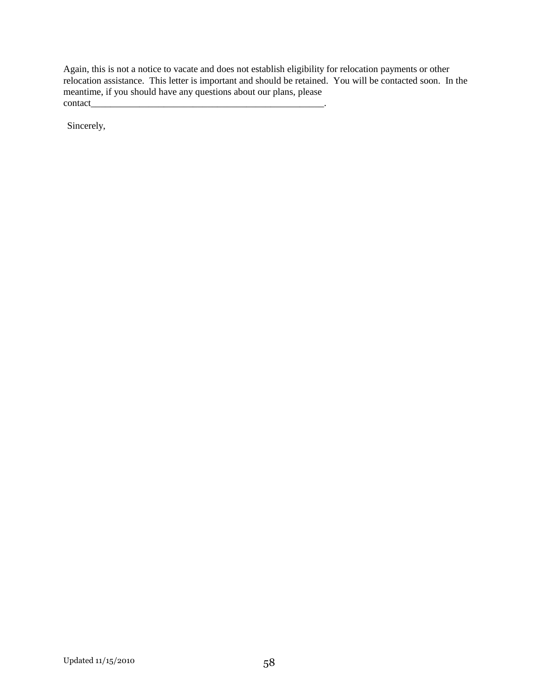Again, this is not a notice to vacate and does not establish eligibility for relocation payments or other relocation assistance. This letter is important and should be retained. You will be contacted soon. In the meantime, if you should have any questions about our plans, please contact\_

Sincerely,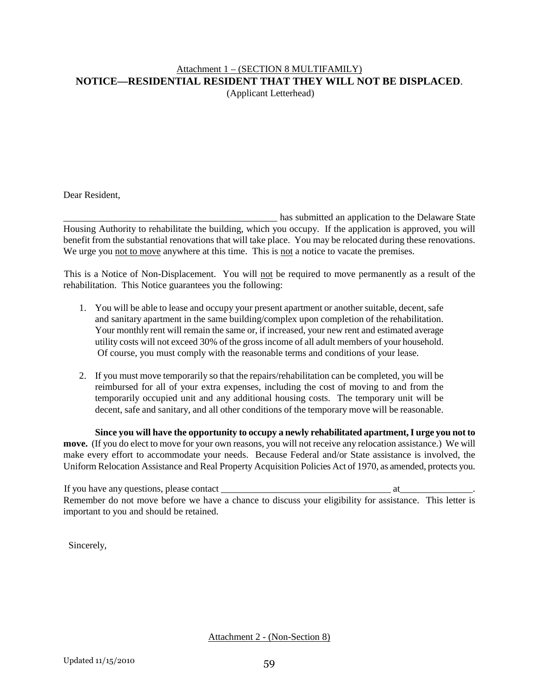#### Attachment 1 – (SECTION 8 MULTIFAMILY) **NOTICE—RESIDENTIAL RESIDENT THAT THEY WILL NOT BE DISPLACED**. (Applicant Letterhead)

Dear Resident,

\_\_\_\_\_\_\_\_\_\_\_\_\_ \_\_\_\_\_\_\_\_\_\_\_\_\_\_\_\_\_\_\_\_\_\_\_\_\_\_\_\_\_\_\_ has submitted an application to the Delaware State Housing Authority to rehabilitate the building, which you occupy. If the application is approved, you will benefit from the substantial renovations that will take place. You may be relocated during these renovations. We urge you not to move anywhere at this time. This is not a notice to vacate the premises.

This is a Notice of Non-Displacement. You will not be required to move permanently as a result of the rehabilitation. This Notice guarantees you the following:

- 1. You will be able to lease and occupy your present apartment or another suitable, decent, safe and sanitary apartment in the same building/complex upon completion of the rehabilitation. Your monthly rent will remain the same or, if increased, your new rent and estimated average utility costs will not exceed 30% of the gross income of all adult members of your household. Of course, you must comply with the reasonable terms and conditions of your lease.
- 2. If you must move temporarily so that the repairs/rehabilitation can be completed, you will be reimbursed for all of your extra expenses, including the cost of moving to and from the temporarily occupied unit and any additional housing costs. The temporary unit will be decent, safe and sanitary, and all other conditions of the temporary move will be reasonable.

**Since you will have the opportunity to occupy a newly rehabilitated apartment, I urge you not to move.** (If you do elect to move for your own reasons, you will not receive any relocation assistance.) We will make every effort to accommodate your needs. Because Federal and/or State assistance is involved, the Uniform Relocation Assistance and Real Property Acquisition Policies Act of 1970, as amended, protects you.

 If you have any questions, please contact \_\_\_\_\_\_\_\_\_\_\_\_\_\_\_\_\_\_\_\_\_\_\_\_\_\_\_\_\_\_\_\_\_\_\_ at\_\_\_\_\_\_\_\_\_\_\_\_\_\_\_. Remember do not move before we have a chance to discuss your eligibility for assistance. This letter is important to you and should be retained.

Sincerely,

Attachment 2 - (Non-Section 8)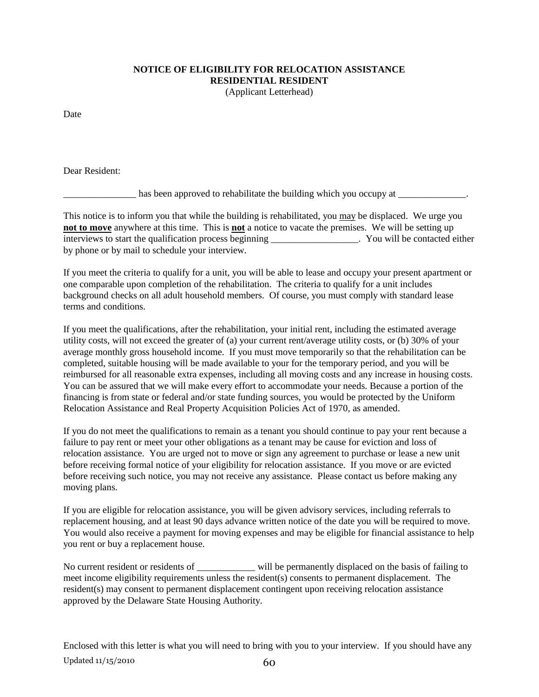## **NOTICE OF ELIGIBILITY FOR RELOCATION ASSISTANCE RESIDENTIAL RESIDENT**

(Applicant Letterhead)

Date

Dear Resident:

 $\Box$  has been approved to rehabilitate the building which you occupy at  $\Box$ 

This notice is to inform you that while the building is rehabilitated, you may be displaced. We urge you **not to move** anywhere at this time. This is **not** a notice to vacate the premises. We will be setting up interviews to start the qualification process beginning \_\_\_\_\_\_\_\_\_\_\_\_\_\_\_\_\_\_. You will be contacted either by phone or by mail to schedule your interview.

If you meet the criteria to qualify for a unit, you will be able to lease and occupy your present apartment or one comparable upon completion of the rehabilitation. The criteria to qualify for a unit includes background checks on all adult household members. Of course, you must comply with standard lease terms and conditions.

If you meet the qualifications, after the rehabilitation, your initial rent, including the estimated average utility costs, will not exceed the greater of (a) your current rent/average utility costs, or (b) 30% of your average monthly gross household income. If you must move temporarily so that the rehabilitation can be completed, suitable housing will be made available to your for the temporary period, and you will be reimbursed for all reasonable extra expenses, including all moving costs and any increase in housing costs. You can be assured that we will make every effort to accommodate your needs. Because a portion of the financing is from state or federal and/or state funding sources, you would be protected by the Uniform Relocation Assistance and Real Property Acquisition Policies Act of 1970, as amended.

If you do not meet the qualifications to remain as a tenant you should continue to pay your rent because a failure to pay rent or meet your other obligations as a tenant may be cause for eviction and loss of relocation assistance. You are urged not to move or sign any agreement to purchase or lease a new unit before receiving formal notice of your eligibility for relocation assistance. If you move or are evicted before receiving such notice, you may not receive any assistance. Please contact us before making any moving plans.

If you are eligible for relocation assistance, you will be given advisory services, including referrals to replacement housing, and at least 90 days advance written notice of the date you will be required to move. You would also receive a payment for moving expenses and may be eligible for financial assistance to help you rent or buy a replacement house.

No current resident or residents of \_\_\_\_\_\_\_\_\_\_\_\_ will be permanently displaced on the basis of failing to meet income eligibility requirements unless the resident(s) consents to permanent displacement. The resident(s) may consent to permanent displacement contingent upon receiving relocation assistance approved by the Delaware State Housing Authority.

Updated  $11/15/2010$  60 Enclosed with this letter is what you will need to bring with you to your interview. If you should have any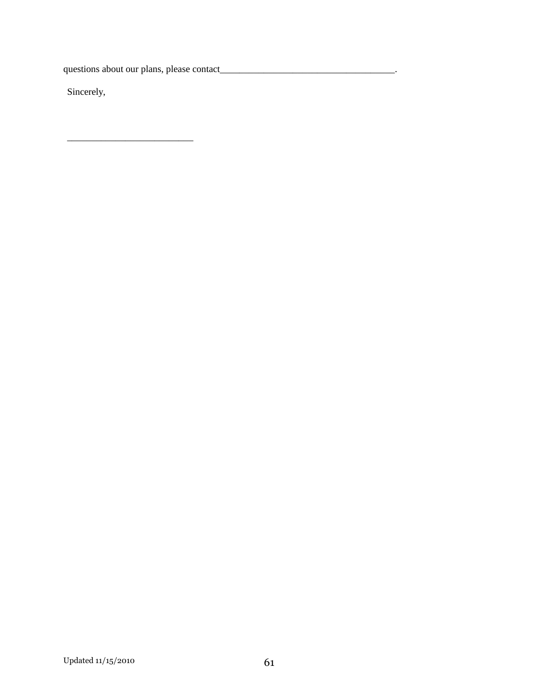questions about our plans, please contact\_\_\_\_\_\_\_\_\_\_\_\_\_\_\_\_\_\_\_\_\_\_\_\_\_\_\_\_\_\_\_\_\_\_\_\_.

\_\_\_\_\_\_\_\_\_\_\_\_\_\_\_\_\_\_\_\_\_\_\_\_\_\_

Sincerely,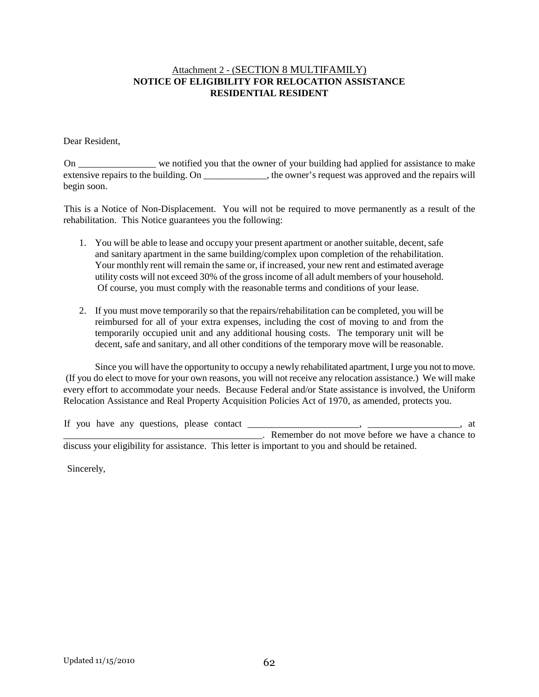#### Attachment 2 - (SECTION 8 MULTIFAMILY) **NOTICE OF ELIGIBILITY FOR RELOCATION ASSISTANCE RESIDENTIAL RESIDENT**

Dear Resident,

 On \_\_\_\_\_\_\_\_\_\_\_\_\_\_\_\_ we notified you that the owner of your building had applied for assistance to make extensive repairs to the building. On  $\qquad \qquad$ , the owner's request was approved and the repairs will begin soon.

 This is a Notice of Non-Displacement. You will not be required to move permanently as a result of the rehabilitation. This Notice guarantees you the following:

- 1. You will be able to lease and occupy your present apartment or another suitable, decent, safe and sanitary apartment in the same building/complex upon completion of the rehabilitation. Your monthly rent will remain the same or, if increased, your new rent and estimated average utility costs will not exceed 30% of the gross income of all adult members of your household. Of course, you must comply with the reasonable terms and conditions of your lease.
- 2. If you must move temporarily so that the repairs/rehabilitation can be completed, you will be reimbursed for all of your extra expenses, including the cost of moving to and from the temporarily occupied unit and any additional housing costs. The temporary unit will be decent, safe and sanitary, and all other conditions of the temporary move will be reasonable.

Since you will have the opportunity to occupy a newly rehabilitated apartment, I urge you not to move. (If you do elect to move for your own reasons, you will not receive any relocation assistance.) We will make every effort to accommodate your needs. Because Federal and/or State assistance is involved, the Uniform Relocation Assistance and Real Property Acquisition Policies Act of 1970, as amended, protects you.

|  |  | If you have any questions, please contact |  | at                                                                                               |
|--|--|-------------------------------------------|--|--------------------------------------------------------------------------------------------------|
|  |  |                                           |  | Remember do not move before we have a chance to                                                  |
|  |  |                                           |  | discuss your eligibility for assistance. This letter is important to you and should be retained. |

Sincerely,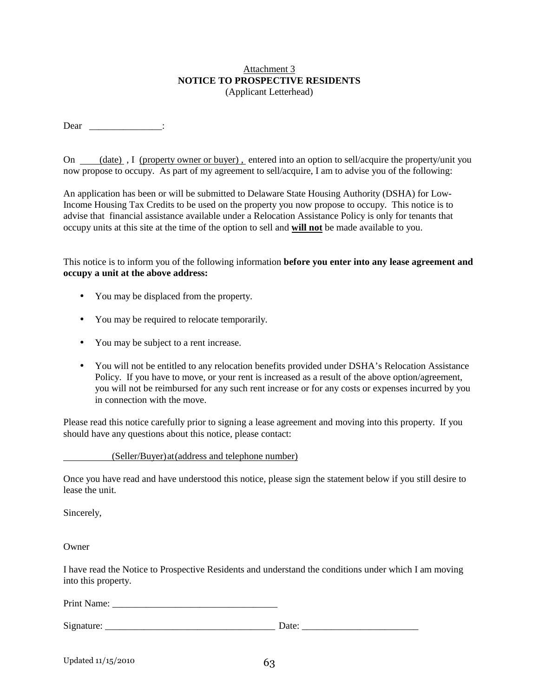#### Attachment 3 **NOTICE TO PROSPECTIVE RESIDENTS**  (Applicant Letterhead)

Dear \_\_\_\_\_\_\_\_\_\_\_\_\_\_\_\_\_\_\_:

On (date), I (property owner or buyer), entered into an option to sell/acquire the property/unit you now propose to occupy. As part of my agreement to sell/acquire, I am to advise you of the following:

An application has been or will be submitted to Delaware State Housing Authority (DSHA) for Low-Income Housing Tax Credits to be used on the property you now propose to occupy. This notice is to advise that financial assistance available under a Relocation Assistance Policy is only for tenants that occupy units at this site at the time of the option to sell and **will not** be made available to you.

This notice is to inform you of the following information **before you enter into any lease agreement and occupy a unit at the above address:**

- You may be displaced from the property.
- You may be required to relocate temporarily.
- You may be subject to a rent increase.
- You will not be entitled to any relocation benefits provided under DSHA's Relocation Assistance Policy. If you have to move, or your rent is increased as a result of the above option/agreement, you will not be reimbursed for any such rent increase or for any costs or expenses incurred by you in connection with the move.

Please read this notice carefully prior to signing a lease agreement and moving into this property. If you should have any questions about this notice, please contact:

(Seller/Buyer) at (address and telephone number)

Once you have read and have understood this notice, please sign the statement below if you still desire to lease the unit.

Sincerely,

**Owner** 

I have read the Notice to Prospective Residents and understand the conditions under which I am moving into this property.

Print Name: \_\_\_\_\_\_\_\_\_\_\_\_\_\_\_\_\_\_\_\_\_\_\_\_\_\_\_\_\_\_\_\_\_\_

Signature: \_\_\_\_\_\_\_\_\_\_\_\_\_\_\_\_\_\_\_\_\_\_\_\_\_\_\_\_\_\_\_\_\_\_\_ Date: \_\_\_\_\_\_\_\_\_\_\_\_\_\_\_\_\_\_\_\_\_\_\_\_

| Updated 11/15/2010 | 63 |
|--------------------|----|
|--------------------|----|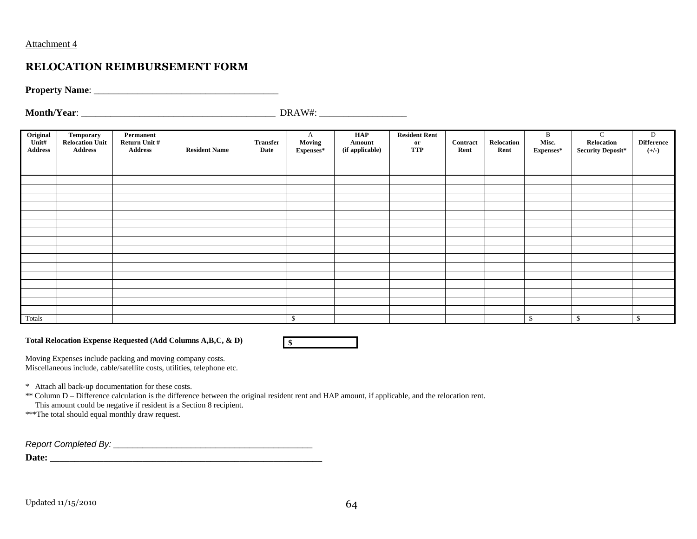#### Attachment 4

## **RELOCATION REIMBURSEMENT FORM**

**Property Name:** 

**Month/Year**: \_\_\_\_\_\_\_\_\_\_\_\_\_\_\_\_\_\_\_\_\_\_\_\_\_\_\_\_\_\_\_\_\_\_\_\_\_\_\_\_ DRAW#: \_\_\_\_\_\_\_\_\_\_\_\_\_\_\_\_\_\_

| Original<br>Unit#<br><b>Address</b> | <b>Temporary</b><br><b>Relocation Unit</b><br><b>Address</b> | Permanent<br>Return Unit #<br><b>Address</b> | <b>Resident Name</b> | <b>Transfer</b><br>Date | A<br>Moving<br>Expenses* | HAP<br>Amount<br>(if applicable) | <b>Resident Rent</b><br>$\mathbf{or}$<br><b>TTP</b> | Contract<br>Rent | Relocation<br>Rent | B<br>Misc.<br>Expenses* | $\mathbf C$<br>Relocation<br><b>Security Deposit*</b> | $\mathbf{D}$<br><b>Difference</b><br>$(+/-)$ |
|-------------------------------------|--------------------------------------------------------------|----------------------------------------------|----------------------|-------------------------|--------------------------|----------------------------------|-----------------------------------------------------|------------------|--------------------|-------------------------|-------------------------------------------------------|----------------------------------------------|
|                                     |                                                              |                                              |                      |                         |                          |                                  |                                                     |                  |                    |                         |                                                       |                                              |
|                                     |                                                              |                                              |                      |                         |                          |                                  |                                                     |                  |                    |                         |                                                       |                                              |
|                                     |                                                              |                                              |                      |                         |                          |                                  |                                                     |                  |                    |                         |                                                       |                                              |
|                                     |                                                              |                                              |                      |                         |                          |                                  |                                                     |                  |                    |                         |                                                       |                                              |
|                                     |                                                              |                                              |                      |                         |                          |                                  |                                                     |                  |                    |                         |                                                       |                                              |
|                                     |                                                              |                                              |                      |                         |                          |                                  |                                                     |                  |                    |                         |                                                       |                                              |
|                                     |                                                              |                                              |                      |                         |                          |                                  |                                                     |                  |                    |                         |                                                       |                                              |
|                                     |                                                              |                                              |                      |                         |                          |                                  |                                                     |                  |                    |                         |                                                       |                                              |
|                                     |                                                              |                                              |                      |                         |                          |                                  |                                                     |                  |                    |                         |                                                       |                                              |
|                                     |                                                              |                                              |                      |                         |                          |                                  |                                                     |                  |                    |                         |                                                       |                                              |
|                                     |                                                              |                                              |                      |                         |                          |                                  |                                                     |                  |                    |                         |                                                       |                                              |
|                                     |                                                              |                                              |                      |                         |                          |                                  |                                                     |                  |                    |                         |                                                       |                                              |
|                                     |                                                              |                                              |                      |                         |                          |                                  |                                                     |                  |                    |                         |                                                       |                                              |
|                                     |                                                              |                                              |                      |                         |                          |                                  |                                                     |                  |                    |                         |                                                       |                                              |
|                                     |                                                              |                                              |                      |                         |                          |                                  |                                                     |                  |                    |                         |                                                       |                                              |
|                                     |                                                              |                                              |                      |                         |                          |                                  |                                                     |                  |                    |                         |                                                       |                                              |
|                                     |                                                              |                                              |                      |                         |                          |                                  |                                                     |                  |                    |                         |                                                       |                                              |
| Totals                              |                                                              |                                              |                      |                         | $\mathcal{S}$            |                                  |                                                     |                  |                    | \$                      | <sup>\$</sup>                                         | $\mathbf{s}$                                 |

**Total Relocation Expense Requested (Add Columns A,B,C, & D)** 



Moving Expenses include packing and moving company costs. Miscellaneous include, cable/satellite costs, utilities, telephone etc.

\* Attach all back-up documentation for these costs.

\*\* Column D – Difference calculation is the difference between the original resident rent and HAP amount, if applicable, and the relocation rent.

This amount could be negative if resident is a Section 8 recipient.

\*\*\*The total should equal monthly draw request.

Report Completed By: \_\_\_\_\_\_\_\_\_\_\_\_\_\_\_\_\_\_\_\_\_\_\_\_\_\_\_\_\_\_\_\_\_\_\_\_\_\_\_\_\_

**Date: \_\_\_\_\_\_\_\_\_\_\_\_\_\_\_\_\_\_\_\_\_\_\_\_\_\_\_\_\_\_\_\_\_\_\_\_\_\_\_\_\_\_\_\_\_\_\_\_\_\_\_\_\_\_\_\_**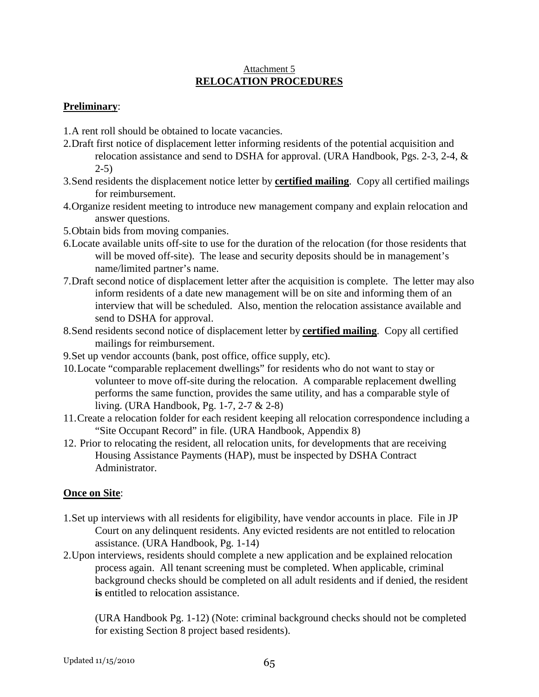#### Attachment 5 **RELOCATION PROCEDURES**

## **Preliminary**:

- 1. A rent roll should be obtained to locate vacancies.
- 2. Draft first notice of displacement letter informing residents of the potential acquisition and relocation assistance and send to DSHA for approval. (URA Handbook, Pgs. 2-3, 2-4, &  $2-5$ )
- 3. Send residents the displacement notice letter by **certified mailing**. Copy all certified mailings for reimbursement.
- 4. Organize resident meeting to introduce new management company and explain relocation and answer questions.
- 5. Obtain bids from moving companies.
- 6. Locate available units off-site to use for the duration of the relocation (for those residents that will be moved off-site). The lease and security deposits should be in management's name/limited partner's name.
- 7. Draft second notice of displacement letter after the acquisition is complete. The letter may also inform residents of a date new management will be on site and informing them of an interview that will be scheduled. Also, mention the relocation assistance available and send to DSHA for approval.
- 8. Send residents second notice of displacement letter by **certified mailing**. Copy all certified mailings for reimbursement.
- 9. Set up vendor accounts (bank, post office, office supply, etc).
- 10. Locate "comparable replacement dwellings" for residents who do not want to stay or volunteer to move off-site during the relocation. A comparable replacement dwelling performs the same function, provides the same utility, and has a comparable style of living. (URA Handbook, Pg. 1-7, 2-7 & 2-8)
- 11. Create a relocation folder for each resident keeping all relocation correspondence including a "Site Occupant Record" in file. (URA Handbook, Appendix 8)
- 12. Prior to relocating the resident, all relocation units, for developments that are receiving Housing Assistance Payments (HAP), must be inspected by DSHA Contract Administrator.

### **Once on Site**:

- 1. Set up interviews with all residents for eligibility, have vendor accounts in place. File in JP Court on any delinquent residents. Any evicted residents are not entitled to relocation assistance. (URA Handbook, Pg. 1-14)
- 2. Upon interviews, residents should complete a new application and be explained relocation process again. All tenant screening must be completed. When applicable, criminal background checks should be completed on all adult residents and if denied, the resident **is** entitled to relocation assistance.

(URA Handbook Pg. 1-12) (Note: criminal background checks should not be completed for existing Section 8 project based residents).